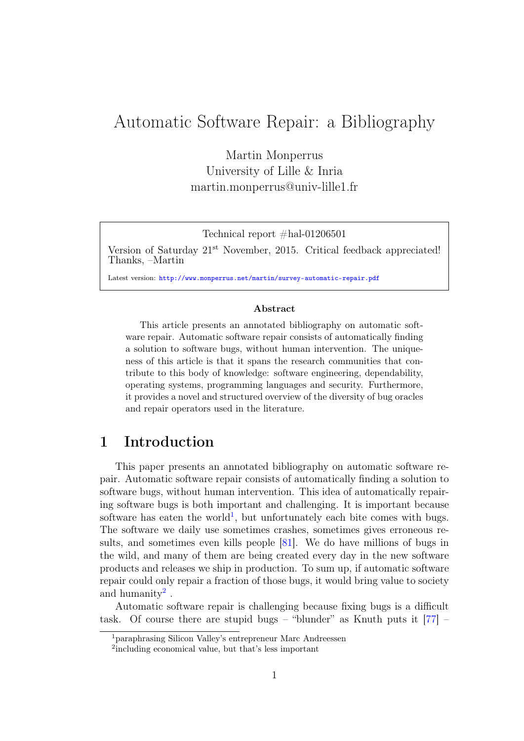# Automatic Software Repair: a Bibliography

Martin Monperrus University of Lille & Inria martin.monperrus@univ-lille1.fr

Technical report  $#hal-01206501$ 

Version of Saturday 21<sup>st</sup> November, 2015. Critical feedback appreciated! Thanks, –Martin

Latest version: <http://www.monperrus.net/martin/survey-automatic-repair.pdf>

#### Abstract

This article presents an annotated bibliography on automatic software repair. Automatic software repair consists of automatically finding a solution to software bugs, without human intervention. The uniqueness of this article is that it spans the research communities that contribute to this body of knowledge: software engineering, dependability, operating systems, programming languages and security. Furthermore, it provides a novel and structured overview of the diversity of bug oracles and repair operators used in the literature.

# 1 Introduction

This paper presents an annotated bibliography on automatic software repair. Automatic software repair consists of automatically finding a solution to software bugs, without human intervention. This idea of automatically repairing software bugs is both important and challenging. It is important because software has eaten the world<sup>[1](#page-0-0)</sup>, but unfortunately each bite comes with bugs. The software we daily use sometimes crashes, sometimes gives erroneous results, and sometimes even kills people  $[81]$ . We do have millions of bugs in the wild, and many of them are being created every day in the new software products and releases we ship in production. To sum up, if automatic software repair could only repair a fraction of those bugs, it would bring value to society and humanity<sup>[2](#page-0-1)</sup>.

Automatic software repair is challenging because fixing bugs is a difficult task. Of course there are stupid bugs – "blunder" as Knuth puts it  $[77]$  –

<span id="page-0-0"></span><sup>1</sup>paraphrasing Silicon Valley's entrepreneur Marc Andreessen

<span id="page-0-1"></span><sup>2</sup> including economical value, but that's less important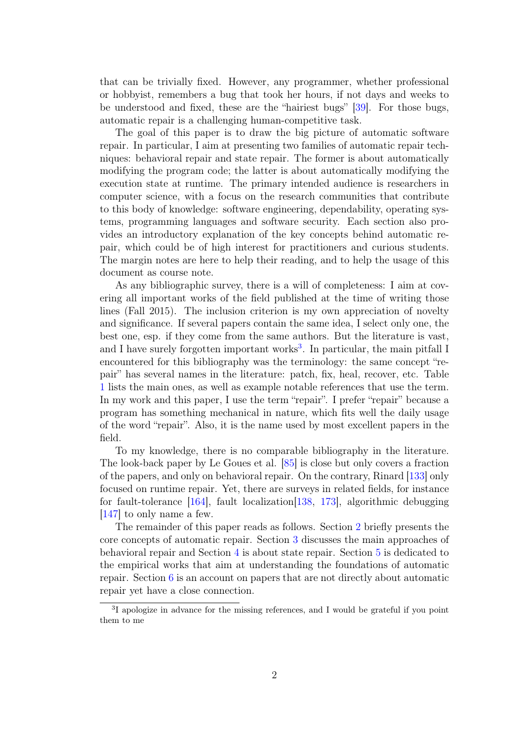that can be trivially fixed. However, any programmer, whether professional or hobbyist, remembers a bug that took her hours, if not days and weeks to be understood and fixed, these are the "hairiest bugs" [\[39\]](#page-23-0). For those bugs, automatic repair is a challenging human-competitive task.

The goal of this paper is to draw the big picture of automatic software repair. In particular, I aim at presenting two families of automatic repair techniques: behavioral repair and state repair. The former is about automatically modifying the program code; the latter is about automatically modifying the execution state at runtime. The primary intended audience is researchers in computer science, with a focus on the research communities that contribute to this body of knowledge: software engineering, dependability, operating systems, programming languages and software security. Each section also provides an introductory explanation of the key concepts behind automatic repair, which could be of high interest for practitioners and curious students. The margin notes are here to help their reading, and to help the usage of this document as course note.

As any bibliographic survey, there is a will of completeness: I aim at covering all important works of the field published at the time of writing those lines (Fall 2015). The inclusion criterion is my own appreciation of novelty and significance. If several papers contain the same idea, I select only one, the best one, esp. if they come from the same authors. But the literature is vast, and I have surely forgotten important works<sup>[3](#page-1-0)</sup>. In particular, the main pitfall I encountered for this bibliography was the terminology: the same concept "repair" has several names in the literature: patch, fix, heal, recover, etc. Table [1](#page-2-0) lists the main ones, as well as example notable references that use the term. In my work and this paper, I use the term "repair". I prefer "repair" because a program has something mechanical in nature, which fits well the daily usage of the word "repair". Also, it is the name used by most excellent papers in the field.

To my knowledge, there is no comparable bibliography in the literature. The look-back paper by Le Goues et al. [\[85\]](#page-26-1) is close but only covers a fraction of the papers, and only on behavioral repair. On the contrary, Rinard [\[133\]](#page-30-0) only focused on runtime repair. Yet, there are surveys in related fields, for instance for fault-tolerance [\[164\]](#page-32-0), fault localization[\[138,](#page-30-1) [173\]](#page-33-0), algorithmic debugging [\[147\]](#page-31-0) to only name a few.

The remainder of this paper reads as follows. Section [2](#page-2-1) briefly presents the core concepts of automatic repair. Section [3](#page-3-0) discusses the main approaches of behavioral repair and Section [4](#page-11-0) is about state repair. Section [5](#page-17-0) is dedicated to the empirical works that aim at understanding the foundations of automatic repair. Section [6](#page-17-1) is an account on papers that are not directly about automatic repair yet have a close connection.

<span id="page-1-0"></span><sup>&</sup>lt;sup>3</sup>I apologize in advance for the missing references, and I would be grateful if you point them to me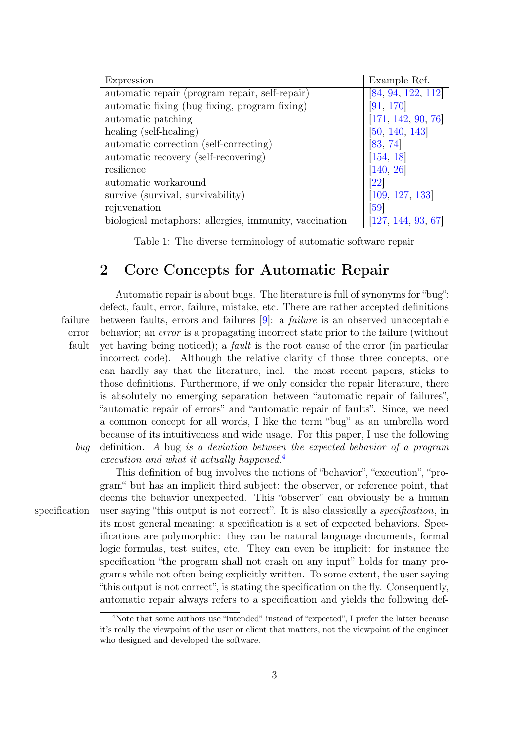| Expression                                             | Example Ref.       |
|--------------------------------------------------------|--------------------|
| automatic repair (program repair, self-repair)         | [84, 94, 122, 112] |
| automatic fixing (bug fixing, program fixing)          | [91, 170]          |
| automatic patching                                     | [171, 142, 90, 76] |
| healing (self-healing)                                 | [50, 140, 143]     |
| automatic correction (self-correcting)                 | [83, 74]           |
| automatic recovery (self-recovering)                   | [154, 18]          |
| resilience                                             | [140, 26]          |
| automatic workaround                                   | <b>22</b>          |
| survive (survival, survivability)                      | [109, 127, 133]    |
| rejuvenation                                           | $\left[59\right]$  |
| biological metaphors: allergies, immunity, vaccination | [127, 144, 93, 67] |

<span id="page-2-0"></span>Table 1: The diverse terminology of automatic software repair

# <span id="page-2-1"></span>2 Core Concepts for Automatic Repair

Automatic repair is about bugs. The literature is full of synonyms for "bug": defect, fault, error, failure, mistake, etc. There are rather accepted definitions failure between faults, errors and failures  $[9]$ : a *failure* is an observed unacceptable error behavior; an *error* is a propagating incorrect state prior to the failure (without fault yet having being noticed); a *fault* is the root cause of the error (in particular incorrect code). Although the relative clarity of those three concepts, one can hardly say that the literature, incl. the most recent papers, sticks to those definitions. Furthermore, if we only consider the repair literature, there is absolutely no emerging separation between "automatic repair of failures", "automatic repair of errors" and "automatic repair of faults". Since, we need a common concept for all words, I like the term "bug" as an umbrella word because of its intuitiveness and wide usage. For this paper, I use the following bug definition. A bug is a deviation between the expected behavior of a program execution and what it actually happened.<sup>[4](#page-2-2)</sup>

This definition of bug involves the notions of "behavior", "execution", "program" but has an implicit third subject: the observer, or reference point, that deems the behavior unexpected. This "observer" can obviously be a human specification user saying "this output is not correct". It is also classically a *specification*, in its most general meaning: a specification is a set of expected behaviors. Specifications are polymorphic: they can be natural language documents, formal logic formulas, test suites, etc. They can even be implicit: for instance the specification "the program shall not crash on any input" holds for many programs while not often being explicitly written. To some extent, the user saying "this output is not correct", is stating the specification on the fly. Consequently, automatic repair always refers to a specification and yields the following def-

<span id="page-2-2"></span><sup>4</sup>Note that some authors use "intended" instead of "expected", I prefer the latter because it's really the viewpoint of the user or client that matters, not the viewpoint of the engineer who designed and developed the software.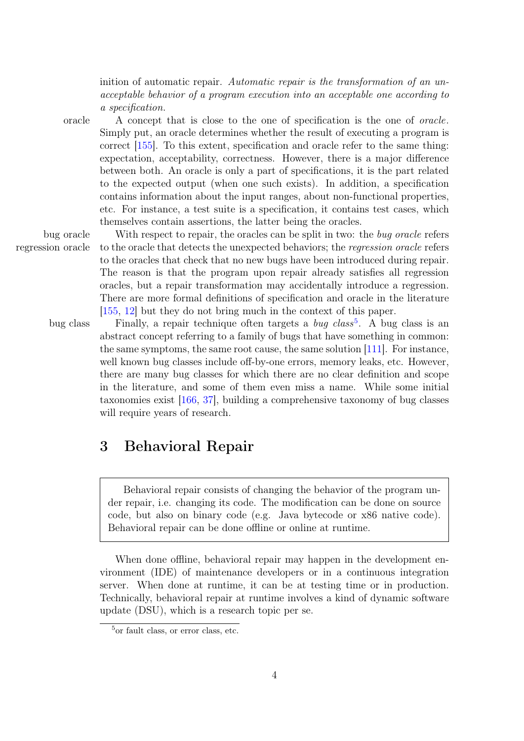inition of automatic repair. Automatic repair is the transformation of an unacceptable behavior of a program execution into an acceptable one according to a specification.

oracle A concept that is close to the one of specification is the one of oracle. Simply put, an oracle determines whether the result of executing a program is correct [\[155\]](#page-32-2). To this extent, specification and oracle refer to the same thing: expectation, acceptability, correctness. However, there is a major difference between both. An oracle is only a part of specifications, it is the part related to the expected output (when one such exists). In addition, a specification contains information about the input ranges, about non-functional properties, etc. For instance, a test suite is a specification, it contains test cases, which

themselves contain assertions, the latter being the oracles.

bug oracle With respect to repair, the oracles can be split in two: the bug oracle refers regression oracle to the oracle that detects the unexpected behaviors; the regression oracle refers to the oracles that check that no new bugs have been introduced during repair. The reason is that the program upon repair already satisfies all regression oracles, but a repair transformation may accidentally introduce a regression. There are more formal definitions of specification and oracle in the literature [\[155,](#page-32-2) [12\]](#page-21-2) but they do not bring much in the context of this paper.

bug class Finally, a repair technique often targets a *bug class*<sup>[5](#page-3-1)</sup>. A bug class is an abstract concept referring to a family of bugs that have something in common: the same symptoms, the same root cause, the same solution [\[111\]](#page-28-2). For instance, well known bug classes include off-by-one errors, memory leaks, etc. However, there are many bug classes for which there are no clear definition and scope in the literature, and some of them even miss a name. While some initial taxonomies exist [\[166,](#page-32-3) [37\]](#page-22-1), building a comprehensive taxonomy of bug classes will require years of research.

# <span id="page-3-0"></span>3 Behavioral Repair

Behavioral repair consists of changing the behavior of the program under repair, i.e. changing its code. The modification can be done on source code, but also on binary code (e.g. Java bytecode or x86 native code). Behavioral repair can be done offline or online at runtime.

When done offline, behavioral repair may happen in the development environment (IDE) of maintenance developers or in a continuous integration server. When done at runtime, it can be at testing time or in production. Technically, behavioral repair at runtime involves a kind of dynamic software update (DSU), which is a research topic per se.

<span id="page-3-1"></span><sup>5</sup>or fault class, or error class, etc.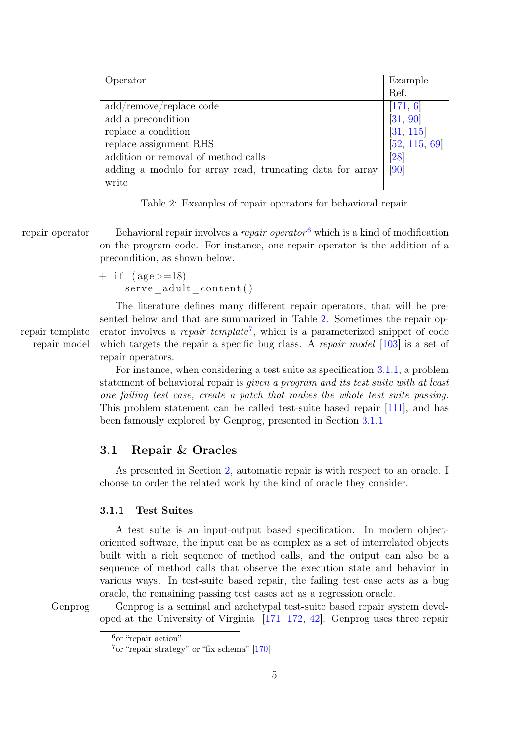| Operator                                                  | Example<br>Ref.    |
|-----------------------------------------------------------|--------------------|
| add/remove/replace code                                   | [171, 6]           |
| add a precondition                                        | [31, 90]           |
| replace a condition                                       | [31, 115]          |
| replace assignment RHS                                    | [52, 115, 69]      |
| addition or removal of method calls                       | $\left[ 28\right]$ |
| adding a modulo for array read, truncating data for array | [90]               |
| write                                                     |                    |

<span id="page-4-1"></span>Table 2: Examples of repair operators for behavioral repair

repair operator Behavioral repair involves a *repair operator*<sup>[6](#page-4-0)</sup> which is a kind of modification on the program code. For instance, one repair operator is the addition of a precondition, as shown below.

> $+$  if (age  $>=18$ ) serve adult content ()

The literature defines many different repair operators, that will be presented below and that are summarized in Table [2.](#page-4-1) Sometimes the repair oprepair template erator involves a *repair template*<sup>[7](#page-4-2)</sup>, which is a parameterized snippet of code repair model which targets the repair a specific bug class. A repair model  $[103]$  $[103]$  is a set of repair operators.

> For instance, when considering a test suite as specification [3.1.1,](#page-4-3) a problem statement of behavioral repair is given a program and its test suite with at least one failing test case, create a patch that makes the whole test suite passing. This problem statement can be called test-suite based repair [\[111\]](#page-28-2), and has been famously explored by Genprog, presented in Section [3.1.1](#page-4-3)

## 3.1 Repair & Oracles

As presented in Section [2,](#page-2-1) automatic repair is with respect to an oracle. I choose to order the related work by the kind of oracle they consider.

#### <span id="page-4-3"></span>3.1.1 Test Suites

A test suite is an input-output based specification. In modern objectoriented software, the input can be as complex as a set of interrelated objects built with a rich sequence of method calls, and the output can also be a sequence of method calls that observe the execution state and behavior in various ways. In test-suite based repair, the failing test case acts as a bug oracle, the remaining passing test cases act as a regression oracle.

Genprog Genprog is a seminal and archetypal test-suite based repair system developed at the University of Virginia [\[171,](#page-33-2) [172,](#page-33-3) [42\]](#page-23-2). Genprog uses three repair

<span id="page-4-0"></span> $6<sup>6</sup>$  or "repair action"

<span id="page-4-2"></span><sup>7</sup>or "repair strategy" or "fix schema" [\[170\]](#page-33-1)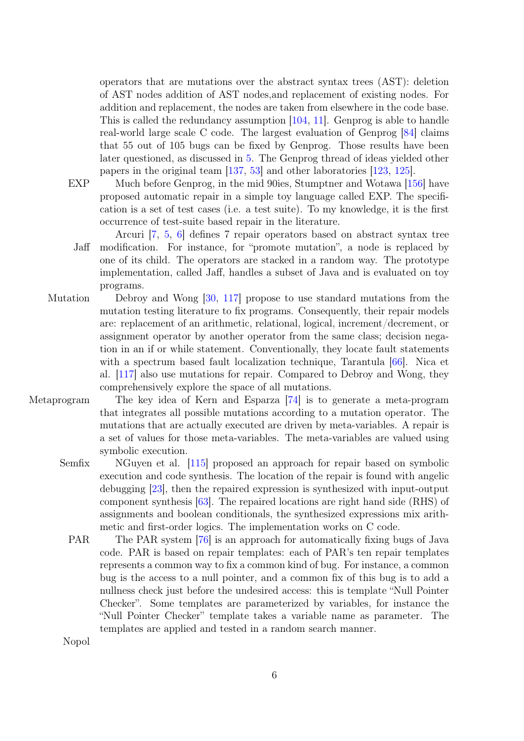operators that are mutations over the abstract syntax trees (AST): deletion of AST nodes addition of AST nodes,and replacement of existing nodes. For addition and replacement, the nodes are taken from elsewhere in the code base. This is called the redundancy assumption [\[104,](#page-28-4) [11\]](#page-20-2). Genprog is able to handle real-world large scale C code. The largest evaluation of Genprog [\[84\]](#page-26-2) claims that 55 out of 105 bugs can be fixed by Genprog. Those results have been later questioned, as discussed in [5.](#page-17-0) The Genprog thread of ideas yielded other papers in the original team [\[137,](#page-30-3) [53\]](#page-24-2) and other laboratories [\[123,](#page-29-3) [125\]](#page-29-4).

- EXP Much before Genprog, in the mid 90ies, Stumptner and Wotawa [\[156\]](#page-32-4) have proposed automatic repair in a simple toy language called EXP. The specification is a set of test cases (i.e. a test suite). To my knowledge, it is the first occurrence of test-suite based repair in the literature.
	- Arcuri [\[7,](#page-20-3) [5,](#page-20-4) [6\]](#page-20-1) defines 7 repair operators based on abstract syntax tree Jaff modification. For instance, for "promote mutation", a node is replaced by one of its child. The operators are stacked in a random way. The prototype implementation, called Jaff, handles a subset of Java and is evaluated on toy programs.
- Mutation Debroy and Wong [\[30,](#page-22-4) [117\]](#page-29-5) propose to use standard mutations from the mutation testing literature to fix programs. Consequently, their repair models are: replacement of an arithmetic, relational, logical, increment/decrement, or assignment operator by another operator from the same class; decision negation in an if or while statement. Conventionally, they locate fault statements with a spectrum based fault localization technique, Tarantula [\[66\]](#page-25-5). Nica et al. [\[117\]](#page-29-5) also use mutations for repair. Compared to Debroy and Wong, they comprehensively explore the space of all mutations.
- Metaprogram The key idea of Kern and Esparza [\[74\]](#page-25-2) is to generate a meta-program that integrates all possible mutations according to a mutation operator. The mutations that are actually executed are driven by meta-variables. A repair is a set of values for those meta-variables. The meta-variables are valued using symbolic execution.
	- Semfix NGuyen et al. [\[115\]](#page-29-2) proposed an approach for repair based on symbolic execution and code synthesis. The location of the repair is found with angelic debugging [\[23\]](#page-21-3), then the repaired expression is synthesized with input-output component synthesis [\[63\]](#page-24-3). The repaired locations are right hand side (RHS) of assignments and boolean conditionals, the synthesized expressions mix arithmetic and first-order logics. The implementation works on C code.
		- PAR The PAR system [\[76\]](#page-25-1) is an approach for automatically fixing bugs of Java code. PAR is based on repair templates: each of PAR's ten repair templates represents a common way to fix a common kind of bug. For instance, a common bug is the access to a null pointer, and a common fix of this bug is to add a nullness check just before the undesired access: this is template "Null Pointer Checker". Some templates are parameterized by variables, for instance the "Null Pointer Checker" template takes a variable name as parameter. The templates are applied and tested in a random search manner.

Nopol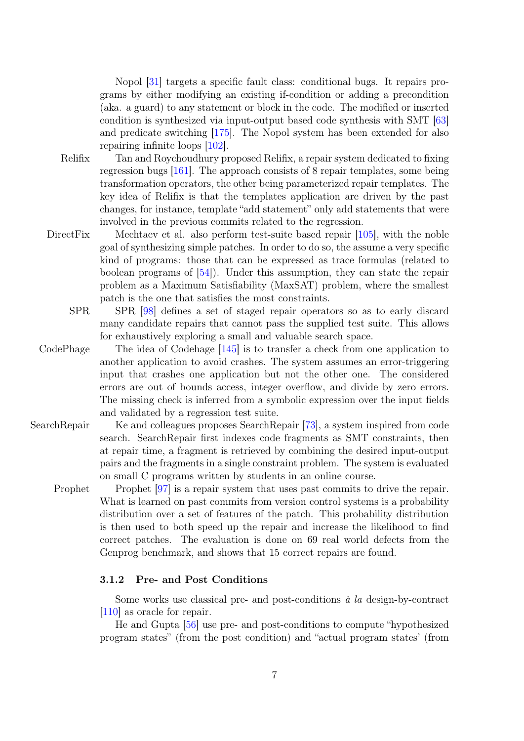Nopol [\[31\]](#page-22-2) targets a specific fault class: conditional bugs. It repairs programs by either modifying an existing if-condition or adding a precondition (aka. a guard) to any statement or block in the code. The modified or inserted condition is synthesized via input-output based code synthesis with SMT [\[63\]](#page-24-3) and predicate switching [\[175\]](#page-33-4). The Nopol system has been extended for also repairing infinite loops [\[102\]](#page-28-5).

- Relifix Tan and Roychoudhury proposed Relifix, a repair system dedicated to fixing regression bugs [\[161\]](#page-32-5). The approach consists of 8 repair templates, some being transformation operators, the other being parameterized repair templates. The key idea of Relifix is that the templates application are driven by the past changes, for instance, template "add statement" only add statements that were involved in the previous commits related to the regression.
- DirectFix Mechtaev et al. also perform test-suite based repair [\[105\]](#page-28-6), with the noble goal of synthesizing simple patches. In order to do so, the assume a very specific kind of programs: those that can be expressed as trace formulas (related to boolean programs of [\[54\]](#page-24-4)). Under this assumption, they can state the repair problem as a Maximum Satisfiability (MaxSAT) problem, where the smallest patch is the one that satisfies the most constraints.
	- SPR SPR [\[98\]](#page-27-4) defines a set of staged repair operators so as to early discard many candidate repairs that cannot pass the supplied test suite. This allows for exhaustively exploring a small and valuable search space.
- CodePhage The idea of Codehage [\[145\]](#page-31-4) is to transfer a check from one application to another application to avoid crashes. The system assumes an error-triggering input that crashes one application but not the other one. The considered errors are out of bounds access, integer overflow, and divide by zero errors. The missing check is inferred from a symbolic expression over the input fields and validated by a regression test suite.
- SearchRepair Ke and colleagues proposes SearchRepair [\[73\]](#page-25-6), a system inspired from code search. SearchRepair first indexes code fragments as SMT constraints, then at repair time, a fragment is retrieved by combining the desired input-output pairs and the fragments in a single constraint problem. The system is evaluated on small C programs written by students in an online course.

Prophet Prophet [\[97\]](#page-27-5) is a repair system that uses past commits to drive the repair. What is learned on past commits from version control systems is a probability distribution over a set of features of the patch. This probability distribution is then used to both speed up the repair and increase the likelihood to find correct patches. The evaluation is done on 69 real world defects from the Genprog benchmark, and shows that 15 correct repairs are found.

#### 3.1.2 Pre- and Post Conditions

Some works use classical pre- and post-conditions  $\dot{a}$  la design-by-contract [\[110\]](#page-28-7) as oracle for repair.

He and Gupta [\[56\]](#page-24-5) use pre- and post-conditions to compute "hypothesized program states" (from the post condition) and "actual program states' (from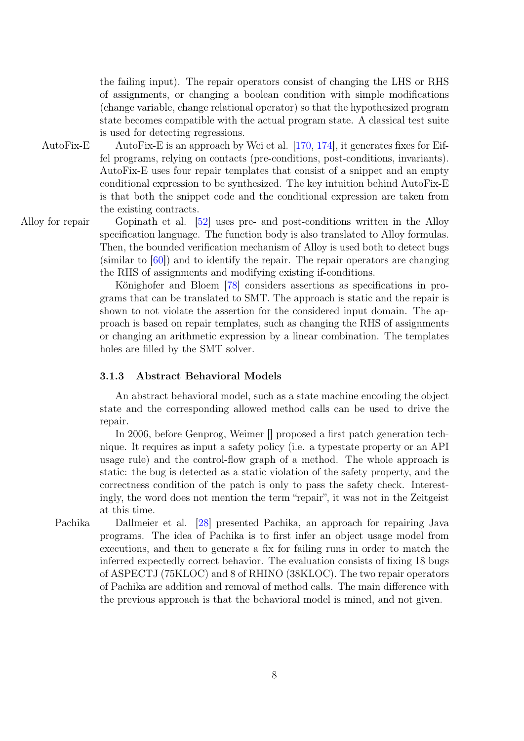the failing input). The repair operators consist of changing the LHS or RHS of assignments, or changing a boolean condition with simple modifications (change variable, change relational operator) so that the hypothesized program state becomes compatible with the actual program state. A classical test suite is used for detecting regressions.

AutoFix-E AutoFix-E is an approach by Wei et al. [\[170,](#page-33-1) [174\]](#page-33-5), it generates fixes for Eiffel programs, relying on contacts (pre-conditions, post-conditions, invariants). AutoFix-E uses four repair templates that consist of a snippet and an empty conditional expression to be synthesized. The key intuition behind AutoFix-E is that both the snippet code and the conditional expression are taken from the existing contracts.

Alloy for repair Gopinath et al. [\[52\]](#page-24-1) uses pre- and post-conditions written in the Alloy specification language. The function body is also translated to Alloy formulas. Then, the bounded verification mechanism of Alloy is used both to detect bugs (similar to [\[60\]](#page-24-6)) and to identify the repair. The repair operators are changing the RHS of assignments and modifying existing if-conditions.

> Könighofer and Bloem [\[78\]](#page-25-7) considers assertions as specifications in programs that can be translated to SMT. The approach is static and the repair is shown to not violate the assertion for the considered input domain. The approach is based on repair templates, such as changing the RHS of assignments or changing an arithmetic expression by a linear combination. The templates holes are filled by the SMT solver.

#### 3.1.3 Abstract Behavioral Models

An abstract behavioral model, such as a state machine encoding the object state and the corresponding allowed method calls can be used to drive the repair.

In 2006, before Genprog, Weimer [] proposed a first patch generation technique. It requires as input a safety policy (i.e. a typestate property or an API usage rule) and the control-flow graph of a method. The whole approach is static: the bug is detected as a static violation of the safety property, and the correctness condition of the patch is only to pass the safety check. Interestingly, the word does not mention the term "repair", it was not in the Zeitgeist at this time.

Pachika Dallmeier et al. [\[28\]](#page-22-3) presented Pachika, an approach for repairing Java programs. The idea of Pachika is to first infer an object usage model from executions, and then to generate a fix for failing runs in order to match the inferred expectedly correct behavior. The evaluation consists of fixing 18 bugs of ASPECTJ (75KLOC) and 8 of RHINO (38KLOC). The two repair operators of Pachika are addition and removal of method calls. The main difference with the previous approach is that the behavioral model is mined, and not given.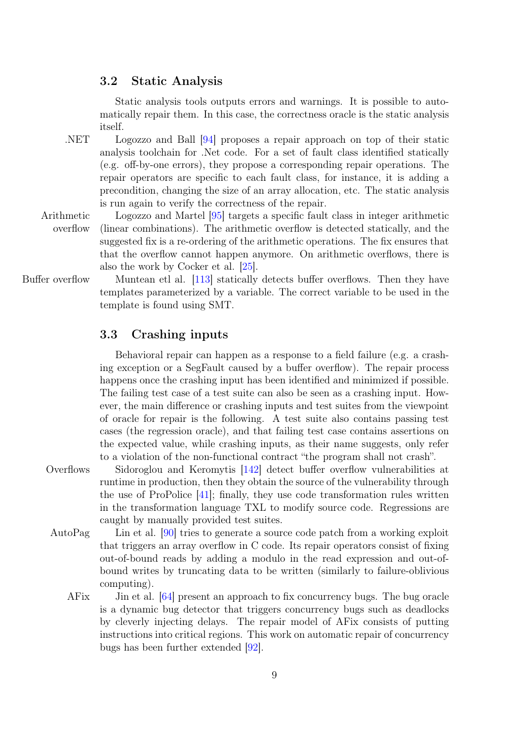### 3.2 Static Analysis

Static analysis tools outputs errors and warnings. It is possible to automatically repair them. In this case, the correctness oracle is the static analysis itself.

.NET Logozzo and Ball [\[94\]](#page-27-0) proposes a repair approach on top of their static analysis toolchain for .Net code. For a set of fault class identified statically (e.g. off-by-one errors), they propose a corresponding repair operations. The repair operators are specific to each fault class, for instance, it is adding a precondition, changing the size of an array allocation, etc. The static analysis is run again to verify the correctness of the repair.

Arithmetic overflow Logozzo and Martel [\[95\]](#page-27-6) targets a specific fault class in integer arithmetic (linear combinations). The arithmetic overflow is detected statically, and the suggested fix is a re-ordering of the arithmetic operations. The fix ensures that that the overflow cannot happen anymore. On arithmetic overflows, there is also the work by Cocker et al. [\[25\]](#page-22-5).

Buffer overflow Muntean etl al. [\[113\]](#page-28-8) statically detects buffer overflows. Then they have templates parameterized by a variable. The correct variable to be used in the template is found using SMT.

## 3.3 Crashing inputs

Behavioral repair can happen as a response to a field failure (e.g. a crashing exception or a SegFault caused by a buffer overflow). The repair process happens once the crashing input has been identified and minimized if possible. The failing test case of a test suite can also be seen as a crashing input. However, the main difference or crashing inputs and test suites from the viewpoint of oracle for repair is the following. A test suite also contains passing test cases (the regression oracle), and that failing test case contains assertions on the expected value, while crashing inputs, as their name suggests, only refer to a violation of the non-functional contract "the program shall not crash".

Overflows Sidoroglou and Keromytis [\[142\]](#page-31-1) detect buffer overflow vulnerabilities at runtime in production, then they obtain the source of the vulnerability through the use of ProPolice [\[41\]](#page-23-3); finally, they use code transformation rules written in the transformation language TXL to modify source code. Regressions are caught by manually provided test suites.

- AutoPag Lin et al. [\[90\]](#page-27-2) tries to generate a source code patch from a working exploit that triggers an array overflow in C code. Its repair operators consist of fixing out-of-bound reads by adding a modulo in the read expression and out-ofbound writes by truncating data to be written (similarly to failure-oblivious computing).
	- AFix Jin et al. [\[64\]](#page-24-7) present an approach to fix concurrency bugs. The bug oracle is a dynamic bug detector that triggers concurrency bugs such as deadlocks by cleverly injecting delays. The repair model of AFix consists of putting instructions into critical regions. This work on automatic repair of concurrency bugs has been further extended [\[92\]](#page-27-7).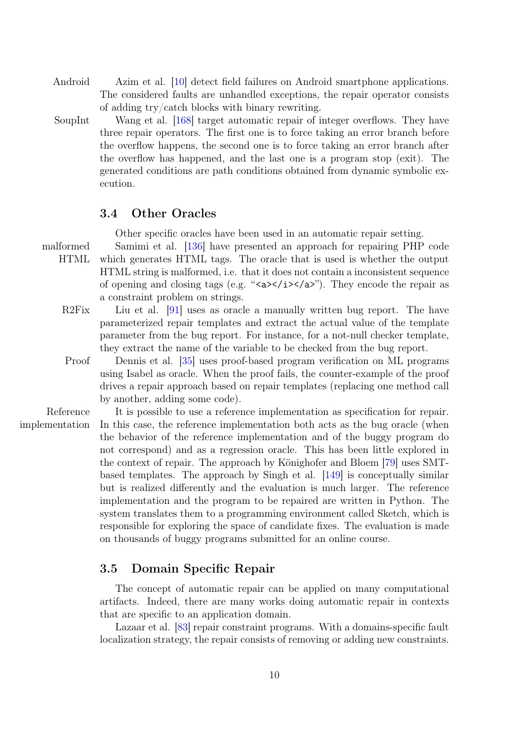- Android Azim et al. [\[10\]](#page-20-5) detect field failures on Android smartphone applications. The considered faults are unhandled exceptions, the repair operator consists of adding try/catch blocks with binary rewriting.
- SoupInt Wang et al. [\[168\]](#page-33-6) target automatic repair of integer overflows. They have three repair operators. The first one is to force taking an error branch before the overflow happens, the second one is to force taking an error branch after the overflow has happened, and the last one is a program stop (exit). The generated conditions are path conditions obtained from dynamic symbolic execution.

## 3.4 Other Oracles

Other specific oracles have been used in an automatic repair setting.

- malformed HTML Samimi et al. [\[136\]](#page-30-4) have presented an approach for repairing PHP code which generates HTML tags. The oracle that is used is whether the output HTML string is malformed, i.e. that it does not contain a inconsistent sequence of opening and closing tags (e.g. "<a>>>>>></i>>/a>"). They encode the repair as a constraint problem on strings.
	- R2Fix Liu et al. [\[91\]](#page-27-1) uses as oracle a manually written bug report. The have parameterized repair templates and extract the actual value of the template parameter from the bug report. For instance, for a not-null checker template, they extract the name of the variable to be checked from the bug report.
	- Proof Dennis et al. [\[35\]](#page-22-6) uses proof-based program verification on ML programs using Isabel as oracle. When the proof fails, the counter-example of the proof drives a repair approach based on repair templates (replacing one method call by another, adding some code).
- Reference implementation It is possible to use a reference implementation as specification for repair. In this case, the reference implementation both acts as the bug oracle (when the behavior of the reference implementation and of the buggy program do not correspond) and as a regression oracle. This has been little explored in the context of repair. The approach by Könighofer and Bloem [\[79\]](#page-26-4) uses SMTbased templates. The approach by Singh et al. [\[149\]](#page-31-5) is conceptually similar but is realized differently and the evaluation is much larger. The reference implementation and the program to be repaired are written in Python. The system translates them to a programming environment called Sketch, which is responsible for exploring the space of candidate fixes. The evaluation is made on thousands of buggy programs submitted for an online course.

## 3.5 Domain Specific Repair

The concept of automatic repair can be applied on many computational artifacts. Indeed, there are many works doing automatic repair in contexts that are specific to an application domain.

Lazaar et al. [\[83\]](#page-26-3) repair constraint programs. With a domains-specific fault localization strategy, the repair consists of removing or adding new constraints.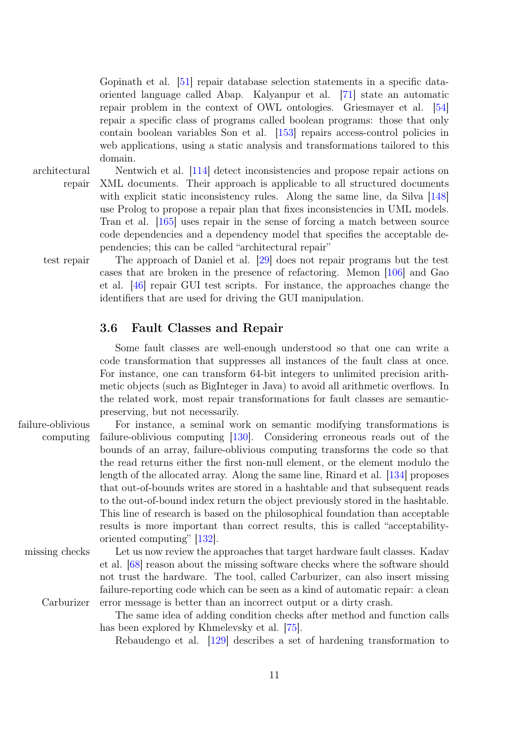Gopinath et al. [\[51\]](#page-23-4) repair database selection statements in a specific dataoriented language called Abap. Kalyanpur et al. [\[71\]](#page-25-8) state an automatic repair problem in the context of OWL ontologies. Griesmayer et al. [\[54\]](#page-24-4) repair a specific class of programs called boolean programs: those that only contain boolean variables Son et al. [\[153\]](#page-32-6) repairs access-control policies in web applications, using a static analysis and transformations tailored to this domain.

architectural repair

Nentwich et al. [\[114\]](#page-28-9) detect inconsistencies and propose repair actions on XML documents. Their approach is applicable to all structured documents with explicit static inconsistency rules. Along the same line, da Silva [\[148\]](#page-31-6) use Prolog to propose a repair plan that fixes inconsistencies in UML models. Tran et al. [\[165\]](#page-32-7) uses repair in the sense of forcing a match between source code dependencies and a dependency model that specifies the acceptable dependencies; this can be called "architectural repair"

test repair The approach of Daniel et al. [\[29\]](#page-22-7) does not repair programs but the test cases that are broken in the presence of refactoring. Memon [\[106\]](#page-28-10) and Gao et al. [\[46\]](#page-23-5) repair GUI test scripts. For instance, the approaches change the identifiers that are used for driving the GUI manipulation.

## <span id="page-10-0"></span>3.6 Fault Classes and Repair

Some fault classes are well-enough understood so that one can write a code transformation that suppresses all instances of the fault class at once. For instance, one can transform 64-bit integers to unlimited precision arithmetic objects (such as BigInteger in Java) to avoid all arithmetic overflows. In the related work, most repair transformations for fault classes are semanticpreserving, but not necessarily.

failure-oblivious computing For instance, a seminal work on semantic modifying transformations is failure-oblivious computing [\[130\]](#page-30-5). Considering erroneous reads out of the bounds of an array, failure-oblivious computing transforms the code so that the read returns either the first non-null element, or the element modulo the length of the allocated array. Along the same line, Rinard et al. [\[134\]](#page-30-6) proposes that out-of-bounds writes are stored in a hashtable and that subsequent reads to the out-of-bound index return the object previously stored in the hashtable. This line of research is based on the philosophical foundation than acceptable results is more important than correct results, this is called "acceptabilityoriented computing" [\[132\]](#page-30-7).

missing checks Let us now review the approaches that target hardware fault classes. Kadav et al. [\[68\]](#page-25-9) reason about the missing software checks where the software should not trust the hardware. The tool, called Carburizer, can also insert missing failure-reporting code which can be seen as a kind of automatic repair: a clean Carburizer error message is better than an incorrect output or a dirty crash.

> The same idea of adding condition checks after method and function calls has been explored by Khmelevsky et al. [\[75\]](#page-25-10).

Rebaudengo et al. [\[129\]](#page-30-8) describes a set of hardening transformation to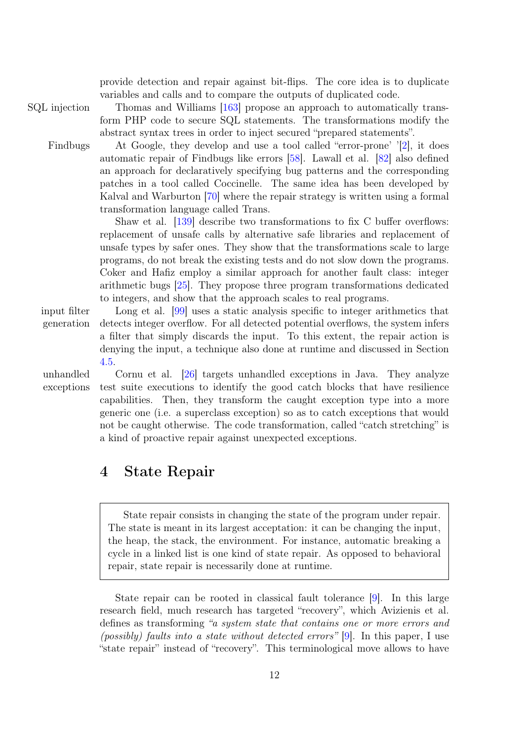provide detection and repair against bit-flips. The core idea is to duplicate variables and calls and to compare the outputs of duplicated code.

SQL injection Thomas and Williams [\[163\]](#page-32-8) propose an approach to automatically transform PHP code to secure SQL statements. The transformations modify the abstract syntax trees in order to inject secured "prepared statements".

Findbugs At Google, they develop and use a tool called "error-prone' '[\[2\]](#page-20-6), it does automatic repair of Findbugs like errors [\[58\]](#page-24-8). Lawall et al. [\[82\]](#page-26-5) also defined an approach for declaratively specifying bug patterns and the corresponding patches in a tool called Coccinelle. The same idea has been developed by Kalval and Warburton [\[70\]](#page-25-11) where the repair strategy is written using a formal transformation language called Trans.

> Shaw et al. [\[139\]](#page-30-9) describe two transformations to fix C buffer overflows: replacement of unsafe calls by alternative safe libraries and replacement of unsafe types by safer ones. They show that the transformations scale to large programs, do not break the existing tests and do not slow down the programs. Coker and Hafiz employ a similar approach for another fault class: integer arithmetic bugs [\[25\]](#page-22-5). They propose three program transformations dedicated to integers, and show that the approach scales to real programs.

input filter generation

Long et al. [\[99\]](#page-27-8) uses a static analysis specific to integer arithmetics that detects integer overflow. For all detected potential overflows, the system infers a filter that simply discards the input. To this extent, the repair action is denying the input, a technique also done at runtime and discussed in Section [4.5.](#page-14-0)

unhandled exceptions

Cornu et al. [\[26\]](#page-22-0) targets unhandled exceptions in Java. They analyze test suite executions to identify the good catch blocks that have resilience capabilities. Then, they transform the caught exception type into a more generic one (i.e. a superclass exception) so as to catch exceptions that would not be caught otherwise. The code transformation, called "catch stretching" is a kind of proactive repair against unexpected exceptions.

# <span id="page-11-0"></span>4 State Repair

State repair consists in changing the state of the program under repair. The state is meant in its largest acceptation: it can be changing the input, the heap, the stack, the environment. For instance, automatic breaking a cycle in a linked list is one kind of state repair. As opposed to behavioral repair, state repair is necessarily done at runtime.

State repair can be rooted in classical fault tolerance [\[9\]](#page-20-0). In this large research field, much research has targeted "recovery", which Avizienis et al. defines as transforming "a system state that contains one or more errors and (possibly) faults into a state without detected errors" [\[9\]](#page-20-0). In this paper, I use "state repair" instead of "recovery". This terminological move allows to have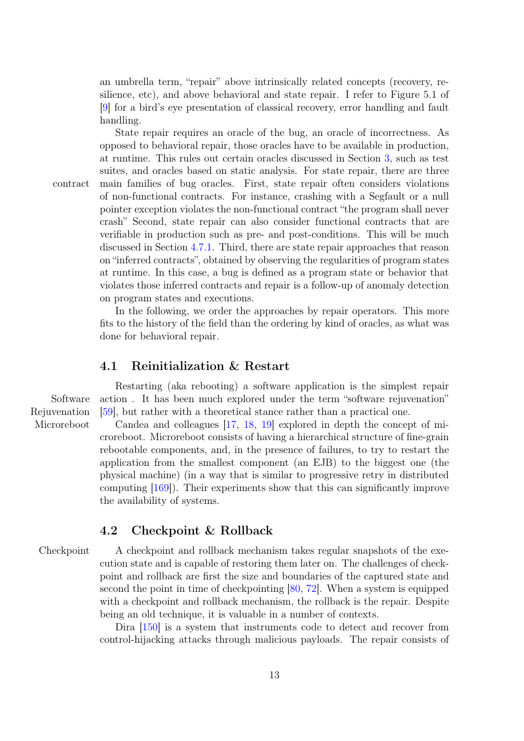an umbrella term, "repair" above intrinsically related concepts (recovery, resilience, etc), and above behavioral and state repair. I refer to Figure 5.1 of [\[9\]](#page-20-0) for a bird's eye presentation of classical recovery, error handling and fault handling.

State repair requires an oracle of the bug, an oracle of incorrectness. As

opposed to behavioral repair, those oracles have to be available in production, at runtime. This rules out certain oracles discussed in Section [3,](#page-3-0) such as test suites, and oracles based on static analysis. For state repair, there are three contract main families of bug oracles. First, state repair often considers violations of non-functional contracts. For instance, crashing with a Segfault or a null pointer exception violates the non-functional contract "the program shall never crash" Second, state repair can also consider functional contracts that are verifiable in production such as pre- and post-conditions. This will be much discussed in Section [4.7.1.](#page-15-0) Third, there are state repair approaches that reason on "inferred contracts", obtained by observing the regularities of program states at runtime. In this case, a bug is defined as a program state or behavior that violates those inferred contracts and repair is a follow-up of anomaly detection on program states and executions.

> In the following, we order the approaches by repair operators. This more fits to the history of the field than the ordering by kind of oracles, as what was done for behavioral repair.

## 4.1 Reinitialization & Restart

Software Rejuvenation

Restarting (aka rebooting) a software application is the simplest repair action. It has been much explored under the term "software rejuvenation" [\[59\]](#page-24-0), but rather with a theoretical stance rather than a practical one.

Microreboot Candea and colleagues [\[17,](#page-21-4) [18,](#page-21-0) [19\]](#page-21-5) explored in depth the concept of microreboot. Microreboot consists of having a hierarchical structure of fine-grain rebootable components, and, in the presence of failures, to try to restart the application from the smallest component (an EJB) to the biggest one (the physical machine) (in a way that is similar to progressive retry in distributed computing [\[169\]](#page-33-7)). Their experiments show that this can significantly improve the availability of systems.

## 4.2 Checkpoint & Rollback

Checkpoint A checkpoint and rollback mechanism takes regular snapshots of the execution state and is capable of restoring them later on. The challenges of checkpoint and rollback are first the size and boundaries of the captured state and second the point in time of checkpointing [\[80,](#page-26-6) [72\]](#page-25-12). When a system is equipped with a checkpoint and rollback mechanism, the rollback is the repair. Despite being an old technique, it is valuable in a number of contexts.

> Dira [\[150\]](#page-31-7) is a system that instruments code to detect and recover from control-hijacking attacks through malicious payloads. The repair consists of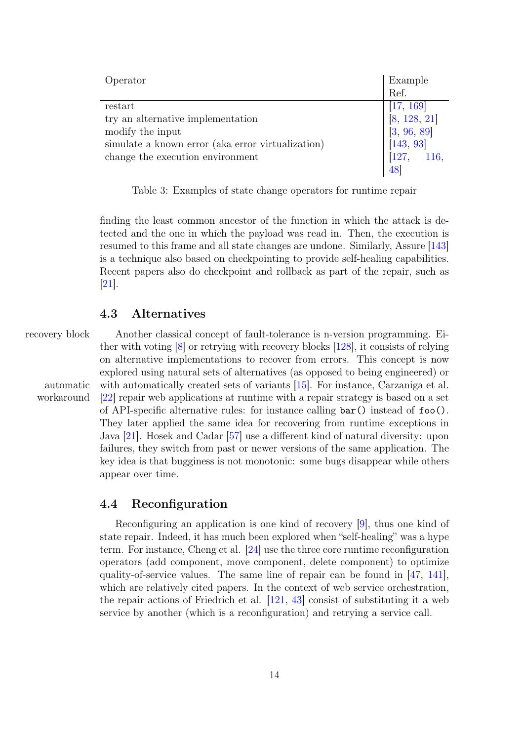| Operator                                          | Example                                                            |
|---------------------------------------------------|--------------------------------------------------------------------|
|                                                   | Ref.                                                               |
| restart                                           | [17, 169]                                                          |
| try an alternative implementation                 |                                                                    |
| modify the input                                  |                                                                    |
| simulate a known error (aka error virtualization) | $\begin{bmatrix} 8, 128, 21 \\ 3, 96, 89 \\ 143, 93 \end{bmatrix}$ |
| change the execution environment                  | [127, 116,                                                         |
|                                                   |                                                                    |

Table 3: Examples of state change operators for runtime repair

finding the least common ancestor of the function in which the attack is detected and the one in which the payload was read in. Then, the execution is resumed to this frame and all state changes are undone. Similarly, Assure [\[143\]](#page-31-2) is a technique also based on checkpointing to provide self-healing capabilities. Recent papers also do checkpoint and rollback as part of the repair, such as [\[21\]](#page-21-6).

## 4.3 Alternatives

workaround

recovery block Another classical concept of fault-tolerance is n-version programming. Either with voting [\[8\]](#page-20-7) or retrying with recovery blocks [\[128\]](#page-30-10), it consists of relying on alternative implementations to recover from errors. This concept is now explored using natural sets of alternatives (as opposed to being engineered) or automatic with automatically created sets of variants  $[15]$ . For instance, Carzaniga et al. [\[22\]](#page-21-1) repair web applications at runtime with a repair strategy is based on a set of API-specific alternative rules: for instance calling bar() instead of foo(). They later applied the same idea for recovering from runtime exceptions in Java [\[21\]](#page-21-6). Hosek and Cadar [\[57\]](#page-24-9) use a different kind of natural diversity: upon failures, they switch from past or newer versions of the same application. The key idea is that bugginess is not monotonic: some bugs disappear while others appear over time.

### 4.4 Reconfiguration

Reconfiguring an application is one kind of recovery [\[9\]](#page-20-0), thus one kind of state repair. Indeed, it has much been explored when "self-healing" was a hype term. For instance, Cheng et al. [\[24\]](#page-21-8) use the three core runtime reconfiguration operators (add component, move component, delete component) to optimize quality-of-service values. The same line of repair can be found in [\[47,](#page-23-7) [141\]](#page-31-8), which are relatively cited papers. In the context of web service orchestration, the repair actions of Friedrich et al. [\[121,](#page-29-7) [43\]](#page-23-8) consist of substituting it a web service by another (which is a reconfiguration) and retrying a service call.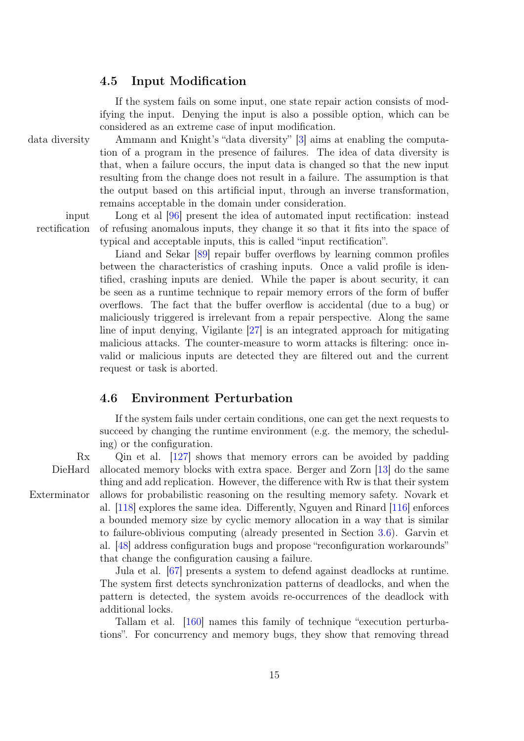## <span id="page-14-0"></span>4.5 Input Modification

If the system fails on some input, one state repair action consists of modifying the input. Denying the input is also a possible option, which can be considered as an extreme case of input modification.

data diversity Ammann and Knight's "data diversity" [\[3\]](#page-20-8) aims at enabling the computation of a program in the presence of failures. The idea of data diversity is that, when a failure occurs, the input data is changed so that the new input resulting from the change does not result in a failure. The assumption is that the output based on this artificial input, through an inverse transformation, remains acceptable in the domain under consideration.

input rectification

Long et al [\[96\]](#page-27-9) present the idea of automated input rectification: instead of refusing anomalous inputs, they change it so that it fits into the space of typical and acceptable inputs, this is called "input rectification".

Liand and Sekar [\[89\]](#page-26-7) repair buffer overflows by learning common profiles between the characteristics of crashing inputs. Once a valid profile is identified, crashing inputs are denied. While the paper is about security, it can be seen as a runtime technique to repair memory errors of the form of buffer overflows. The fact that the buffer overflow is accidental (due to a bug) or maliciously triggered is irrelevant from a repair perspective. Along the same line of input denying, Vigilante [\[27\]](#page-22-8) is an integrated approach for mitigating malicious attacks. The counter-measure to worm attacks is filtering: once invalid or malicious inputs are detected they are filtered out and the current request or task is aborted.

## 4.6 Environment Perturbation

If the system fails under certain conditions, one can get the next requests to succeed by changing the runtime environment (e.g. the memory, the scheduling) or the configuration.

Rx Qin et al. [\[127\]](#page-29-1) shows that memory errors can be avoided by padding DieHard allocated memory blocks with extra space. Berger and Zorn [\[13\]](#page-21-9) do the same thing and add replication. However, the difference with Rw is that their system Exterminator allows for probabilistic reasoning on the resulting memory safety. Novark et al. [\[118\]](#page-29-8) explores the same idea. Differently, Nguyen and Rinard [\[116\]](#page-29-6) enforces a bounded memory size by cyclic memory allocation in a way that is similar to failure-oblivious computing (already presented in Section [3.6\)](#page-10-0). Garvin et al. [\[48\]](#page-23-6) address configuration bugs and propose "reconfiguration workarounds" that change the configuration causing a failure.

> Jula et al. [\[67\]](#page-25-3) presents a system to defend against deadlocks at runtime. The system first detects synchronization patterns of deadlocks, and when the pattern is detected, the system avoids re-occurrences of the deadlock with additional locks.

> Tallam et al. [\[160\]](#page-32-9) names this family of technique "execution perturbations". For concurrency and memory bugs, they show that removing thread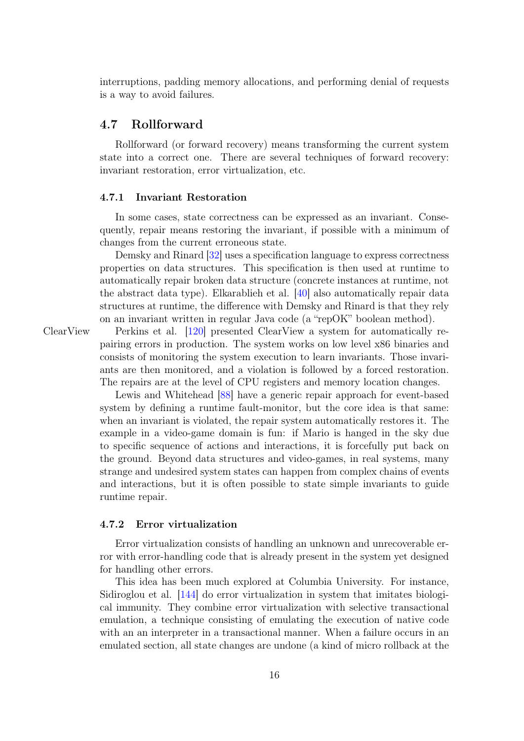interruptions, padding memory allocations, and performing denial of requests is a way to avoid failures.

## 4.7 Rollforward

Rollforward (or forward recovery) means transforming the current system state into a correct one. There are several techniques of forward recovery: invariant restoration, error virtualization, etc.

#### <span id="page-15-0"></span>4.7.1 Invariant Restoration

In some cases, state correctness can be expressed as an invariant. Consequently, repair means restoring the invariant, if possible with a minimum of changes from the current erroneous state.

Demsky and Rinard [\[32\]](#page-22-9) uses a specification language to express correctness properties on data structures. This specification is then used at runtime to automatically repair broken data structure (concrete instances at runtime, not the abstract data type). Elkarablieh et al. [\[40\]](#page-23-9) also automatically repair data structures at runtime, the difference with Demsky and Rinard is that they rely on an invariant written in regular Java code (a "repOK" boolean method).

ClearView Perkins et al. [\[120\]](#page-29-9) presented ClearView a system for automatically repairing errors in production. The system works on low level x86 binaries and consists of monitoring the system execution to learn invariants. Those invariants are then monitored, and a violation is followed by a forced restoration. The repairs are at the level of CPU registers and memory location changes.

> Lewis and Whitehead [\[88\]](#page-26-8) have a generic repair approach for event-based system by defining a runtime fault-monitor, but the core idea is that same: when an invariant is violated, the repair system automatically restores it. The example in a video-game domain is fun: if Mario is hanged in the sky due to specific sequence of actions and interactions, it is forcefully put back on the ground. Beyond data structures and video-games, in real systems, many strange and undesired system states can happen from complex chains of events and interactions, but it is often possible to state simple invariants to guide runtime repair.

#### 4.7.2 Error virtualization

Error virtualization consists of handling an unknown and unrecoverable error with error-handling code that is already present in the system yet designed for handling other errors.

This idea has been much explored at Columbia University. For instance, Sidiroglou et al. [\[144\]](#page-31-3) do error virtualization in system that imitates biological immunity. They combine error virtualization with selective transactional emulation, a technique consisting of emulating the execution of native code with an an interpreter in a transactional manner. When a failure occurs in an emulated section, all state changes are undone (a kind of micro rollback at the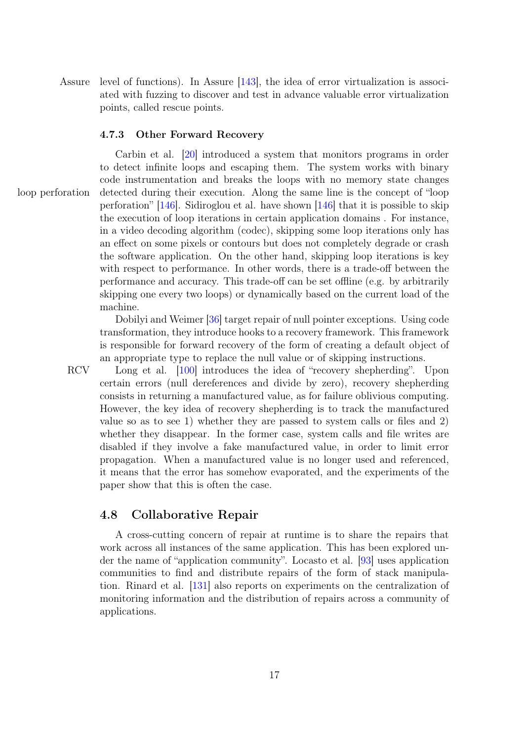Assure level of functions). In Assure  $[143]$ , the idea of error virtualization is associ-ated with fuzzing to discover and test in advance valuable error virtualization points, called rescue points.

#### 4.7.3 Other Forward Recovery

Carbin et al. [\[20\]](#page-21-10) introduced a system that monitors programs in order to detect infinite loops and escaping them. The system works with binary code instrumentation and breaks the loops with no memory state changes loop perforation detected during their execution. Along the same line is the concept of "loop perforation" [\[146\]](#page-31-9). Sidiroglou et al. have shown [\[146\]](#page-31-9) that it is possible to skip the execution of loop iterations in certain application domains . For instance, in a video decoding algorithm (codec), skipping some loop iterations only has an effect on some pixels or contours but does not completely degrade or crash the software application. On the other hand, skipping loop iterations is key with respect to performance. In other words, there is a trade-off between the performance and accuracy. This trade-off can be set offline (e.g. by arbitrarily skipping one every two loops) or dynamically based on the current load of the machine.

> Dobilyi and Weimer [\[36\]](#page-22-10) target repair of null pointer exceptions. Using code transformation, they introduce hooks to a recovery framework. This framework is responsible for forward recovery of the form of creating a default object of an appropriate type to replace the null value or of skipping instructions.

RCV Long et al. [\[100\]](#page-27-10) introduces the idea of "recovery shepherding". Upon certain errors (null dereferences and divide by zero), recovery shepherding consists in returning a manufactured value, as for failure oblivious computing. However, the key idea of recovery shepherding is to track the manufactured value so as to see 1) whether they are passed to system calls or files and 2) whether they disappear. In the former case, system calls and file writes are disabled if they involve a fake manufactured value, in order to limit error propagation. When a manufactured value is no longer used and referenced, it means that the error has somehow evaporated, and the experiments of the paper show that this is often the case.

## 4.8 Collaborative Repair

A cross-cutting concern of repair at runtime is to share the repairs that work across all instances of the same application. This has been explored under the name of "application community". Locasto et al. [\[93\]](#page-27-3) uses application communities to find and distribute repairs of the form of stack manipulation. Rinard et al. [\[131\]](#page-30-11) also reports on experiments on the centralization of monitoring information and the distribution of repairs across a community of applications.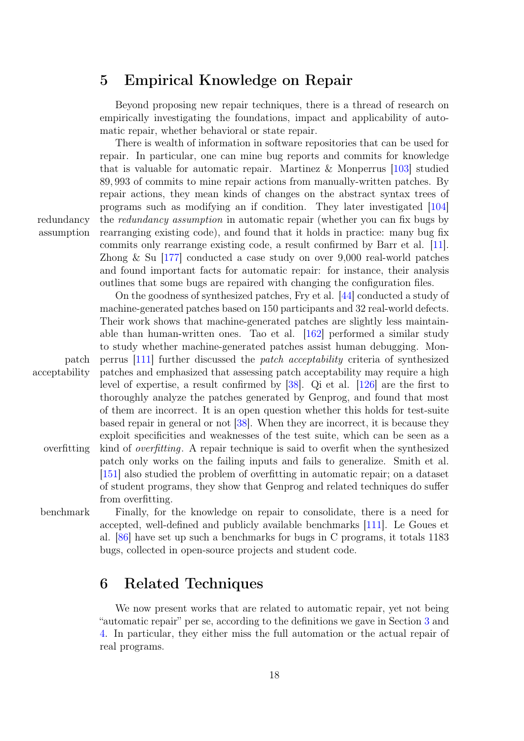## <span id="page-17-0"></span>5 Empirical Knowledge on Repair

Beyond proposing new repair techniques, there is a thread of research on empirically investigating the foundations, impact and applicability of automatic repair, whether behavioral or state repair.

There is wealth of information in software repositories that can be used for repair. In particular, one can mine bug reports and commits for knowledge that is valuable for automatic repair. Martinez & Monperrus [\[103\]](#page-28-3) studied 89, 993 of commits to mine repair actions from manually-written patches. By repair actions, they mean kinds of changes on the abstract syntax trees of programs such as modifying an if condition. They later investigated [\[104\]](#page-28-4) redundancy the *redundancy assumption* in automatic repair (whether you can fix bugs by rearranging existing code), and found that it holds in practice: many bug fix commits only rearrange existing code, a result confirmed by Barr et al. [\[11\]](#page-20-2). Zhong & Su [\[177\]](#page-33-8) conducted a case study on over 9,000 real-world patches and found important facts for automatic repair: for instance, their analysis outlines that some bugs are repaired with changing the configuration files.

On the goodness of synthesized patches, Fry et al. [\[44\]](#page-23-10) conducted a study of machine-generated patches based on 150 participants and 32 real-world defects. Their work shows that machine-generated patches are slightly less maintainable than human-written ones. Tao et al. [\[162\]](#page-32-10) performed a similar study to study whether machine-generated patches assist human debugging. Monpatch perrus [\[111\]](#page-28-2) further discussed the patch acceptability criteria of synthesized acceptability patches and emphasized that assessing patch acceptability may require a high level of expertise, a result confirmed by [\[38\]](#page-23-11). Qi et al. [\[126\]](#page-29-10) are the first to thoroughly analyze the patches generated by Genprog, and found that most of them are incorrect. It is an open question whether this holds for test-suite based repair in general or not [\[38\]](#page-23-11). When they are incorrect, it is because they exploit specificities and weaknesses of the test suite, which can be seen as a overfitting kind of *overfitting*. A repair technique is said to overfit when the synthesized patch only works on the failing inputs and fails to generalize. Smith et al. [\[151\]](#page-31-10) also studied the problem of overfitting in automatic repair; on a dataset of student programs, they show that Genprog and related techniques do suffer from overfitting.

benchmark Finally, for the knowledge on repair to consolidate, there is a need for accepted, well-defined and publicly available benchmarks [\[111\]](#page-28-2). Le Goues et al. [\[86\]](#page-26-9) have set up such a benchmarks for bugs in C programs, it totals 1183 bugs, collected in open-source projects and student code.

# <span id="page-17-1"></span>6 Related Techniques

We now present works that are related to automatic repair, yet not being "automatic repair" per se, according to the definitions we gave in Section [3](#page-3-0) and [4.](#page-11-0) In particular, they either miss the full automation or the actual repair of real programs.

assumption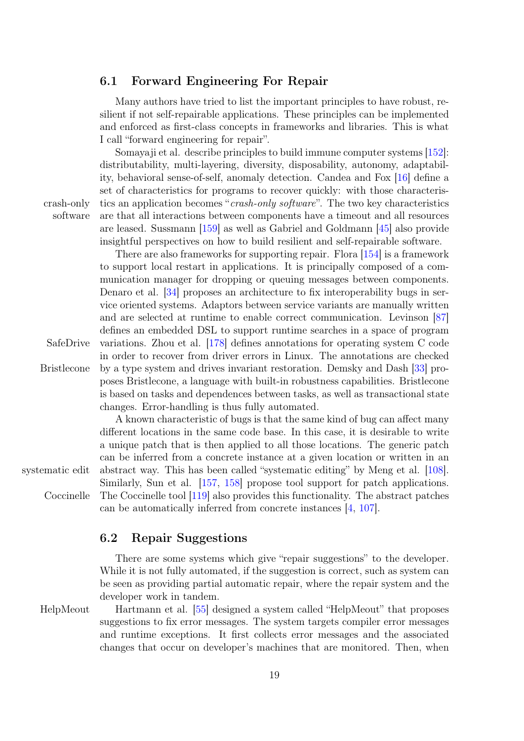## 6.1 Forward Engineering For Repair

Many authors have tried to list the important principles to have robust, resilient if not self-repairable applications. These principles can be implemented and enforced as first-class concepts in frameworks and libraries. This is what I call "forward engineering for repair".

Somavaji et al. describe principles to build immune computer systems  $|152|$ : distributability, multi-layering, diversity, disposability, autonomy, adaptability, behavioral sense-of-self, anomaly detection. Candea and Fox [\[16\]](#page-21-11) define a set of characteristics for programs to recover quickly: with those characteriscrash-only tics an application becomes "*crash-only software*". The two key characteristics are that all interactions between components have a timeout and all resources are leased. Sussmann [\[159\]](#page-32-11) as well as Gabriel and Goldmann [\[45\]](#page-23-12) also provide insightful perspectives on how to build resilient and self-repairable software.

There are also frameworks for supporting repair. Flora [\[154\]](#page-32-1) is a framework to support local restart in applications. It is principally composed of a communication manager for dropping or queuing messages between components. Denaro et al. [\[34\]](#page-22-11) proposes an architecture to fix interoperability bugs in service oriented systems. Adaptors between service variants are manually written and are selected at runtime to enable correct communication. Levinson [\[87\]](#page-26-10) defines an embedded DSL to support runtime searches in a space of program SafeDrive variations. Zhou et al.  $[178]$  defines annotations for operating system C code in order to recover from driver errors in Linux. The annotations are checked Bristlecone by a type system and drives invariant restoration. Demsky and Dash [\[33\]](#page-22-12) proposes Bristlecone, a language with built-in robustness capabilities. Bristlecone is based on tasks and dependences between tasks, as well as transactional state changes. Error-handling is thus fully automated.

A known characteristic of bugs is that the same kind of bug can affect many different locations in the same code base. In this case, it is desirable to write a unique patch that is then applied to all those locations. The generic patch can be inferred from a concrete instance at a given location or written in an systematic edit abstract way. This has been called "systematic editing" by Meng et al.  $[108]$ . Similarly, Sun et al. [\[157,](#page-32-12) [158\]](#page-32-13) propose tool support for patch applications. Coccinelle The Coccinelle tool [\[119\]](#page-29-11) also provides this functionality. The abstract patches can be automatically inferred from concrete instances [\[4,](#page-20-9) [107\]](#page-28-12).

## 6.2 Repair Suggestions

There are some systems which give "repair suggestions" to the developer. While it is not fully automated, if the suggestion is correct, such as system can be seen as providing partial automatic repair, where the repair system and the developer work in tandem.

HelpMeout Hartmann et al. [\[55\]](#page-24-10) designed a system called "HelpMeout" that proposes suggestions to fix error messages. The system targets compiler error messages and runtime exceptions. It first collects error messages and the associated changes that occur on developer's machines that are monitored. Then, when

software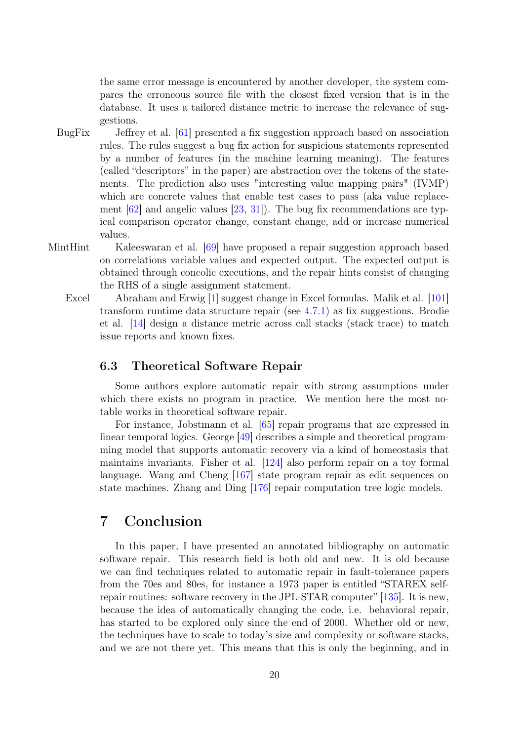the same error message is encountered by another developer, the system compares the erroneous source file with the closest fixed version that is in the database. It uses a tailored distance metric to increase the relevance of suggestions.

- BugFix Jeffrey et al. [\[61\]](#page-24-11) presented a fix suggestion approach based on association rules. The rules suggest a bug fix action for suspicious statements represented by a number of features (in the machine learning meaning). The features (called "descriptors" in the paper) are abstraction over the tokens of the statements. The prediction also uses "interesting value mapping pairs" (IVMP) which are concrete values that enable test cases to pass (aka value replacement  $[62]$  and angelic values  $[23, 31]$  $[23, 31]$  $[23, 31]$ ). The bug fix recommendations are typical comparison operator change, constant change, add or increase numerical values.
- MintHint Kaleeswaran et al. [\[69\]](#page-25-4) have proposed a repair suggestion approach based on correlations variable values and expected output. The expected output is obtained through concolic executions, and the repair hints consist of changing the RHS of a single assignment statement.
	- Excel Abraham and Erwig [\[1\]](#page-20-10) suggest change in Excel formulas. Malik et al. [\[101\]](#page-27-11) transform runtime data structure repair (see [4.7.1\)](#page-15-0) as fix suggestions. Brodie et al. [\[14\]](#page-21-12) design a distance metric across call stacks (stack trace) to match issue reports and known fixes.

## 6.3 Theoretical Software Repair

Some authors explore automatic repair with strong assumptions under which there exists no program in practice. We mention here the most notable works in theoretical software repair.

For instance, Jobstmann et al. [\[65\]](#page-25-13) repair programs that are expressed in linear temporal logics. George [\[49\]](#page-23-13) describes a simple and theoretical programming model that supports automatic recovery via a kind of homeostasis that maintains invariants. Fisher et al. [\[124\]](#page-29-12) also perform repair on a toy formal language. Wang and Cheng [\[167\]](#page-33-10) state program repair as edit sequences on state machines. Zhang and Ding [\[176\]](#page-33-11) repair computation tree logic models.

## 7 Conclusion

In this paper, I have presented an annotated bibliography on automatic software repair. This research field is both old and new. It is old because we can find techniques related to automatic repair in fault-tolerance papers from the 70es and 80es, for instance a 1973 paper is entitled "STAREX selfrepair routines: software recovery in the JPL-STAR computer" [\[135\]](#page-30-12). It is new, because the idea of automatically changing the code, i.e. behavioral repair, has started to be explored only since the end of 2000. Whether old or new, the techniques have to scale to today's size and complexity or software stacks, and we are not there yet. This means that this is only the beginning, and in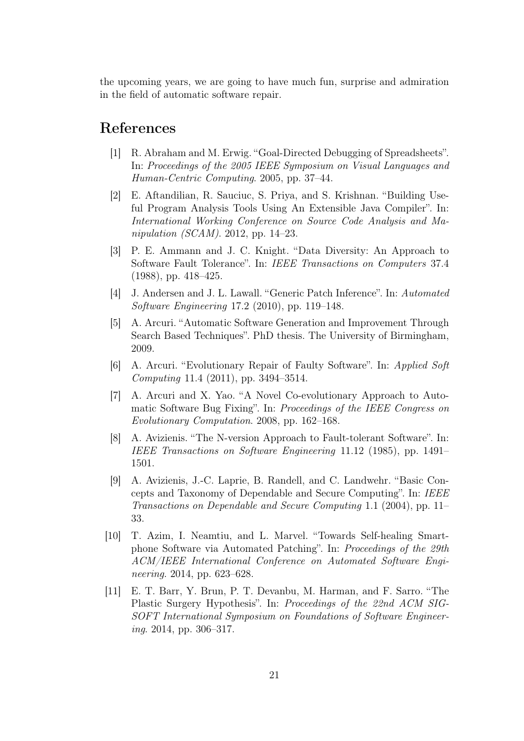the upcoming years, we are going to have much fun, surprise and admiration in the field of automatic software repair.

## References

- <span id="page-20-10"></span>[1] R. Abraham and M. Erwig. "Goal-Directed Debugging of Spreadsheets". In: Proceedings of the 2005 IEEE Symposium on Visual Languages and Human-Centric Computing. 2005, pp. 37–44.
- <span id="page-20-6"></span>[2] E. Aftandilian, R. Sauciuc, S. Priya, and S. Krishnan. "Building Useful Program Analysis Tools Using An Extensible Java Compiler". In: International Working Conference on Source Code Analysis and Manipulation (SCAM). 2012, pp. 14–23.
- <span id="page-20-8"></span>[3] P. E. Ammann and J. C. Knight. "Data Diversity: An Approach to Software Fault Tolerance". In: IEEE Transactions on Computers 37.4 (1988), pp. 418–425.
- <span id="page-20-9"></span>[4] J. Andersen and J. L. Lawall. "Generic Patch Inference". In: Automated Software Engineering 17.2 (2010), pp. 119–148.
- <span id="page-20-4"></span>[5] A. Arcuri. "Automatic Software Generation and Improvement Through Search Based Techniques". PhD thesis. The University of Birmingham, 2009.
- <span id="page-20-1"></span>[6] A. Arcuri. "Evolutionary Repair of Faulty Software". In: Applied Soft Computing 11.4 (2011), pp. 3494–3514.
- <span id="page-20-3"></span>[7] A. Arcuri and X. Yao. "A Novel Co-evolutionary Approach to Automatic Software Bug Fixing". In: Proceedings of the IEEE Congress on Evolutionary Computation. 2008, pp. 162–168.
- <span id="page-20-7"></span>[8] A. Avizienis. "The N-version Approach to Fault-tolerant Software". In: IEEE Transactions on Software Engineering 11.12 (1985), pp. 1491– 1501.
- <span id="page-20-0"></span>[9] A. Avizienis, J.-C. Laprie, B. Randell, and C. Landwehr. "Basic Concepts and Taxonomy of Dependable and Secure Computing". In: IEEE Transactions on Dependable and Secure Computing 1.1 (2004), pp. 11– 33.
- <span id="page-20-5"></span>[10] T. Azim, I. Neamtiu, and L. Marvel. "Towards Self-healing Smartphone Software via Automated Patching". In: Proceedings of the 29th ACM/IEEE International Conference on Automated Software Engineering. 2014, pp. 623–628.
- <span id="page-20-2"></span>[11] E. T. Barr, Y. Brun, P. T. Devanbu, M. Harman, and F. Sarro. "The Plastic Surgery Hypothesis". In: Proceedings of the 22nd ACM SIG-SOFT International Symposium on Foundations of Software Engineering. 2014, pp. 306–317.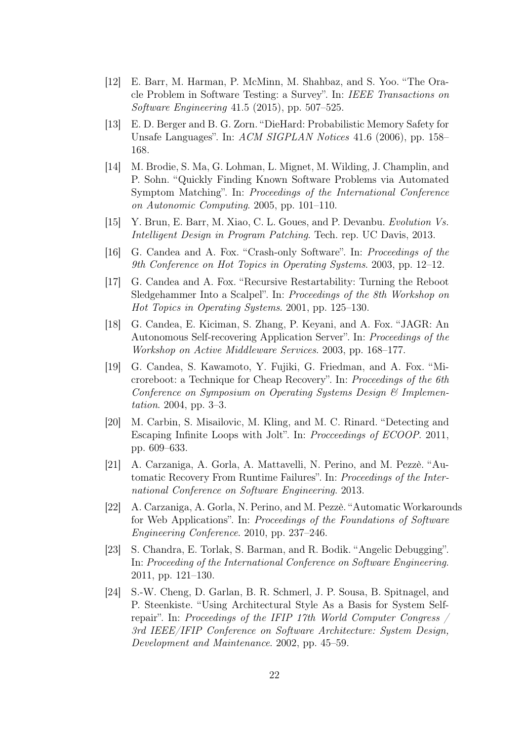- <span id="page-21-2"></span>[12] E. Barr, M. Harman, P. McMinn, M. Shahbaz, and S. Yoo. "The Oracle Problem in Software Testing: a Survey". In: IEEE Transactions on Software Engineering 41.5 (2015), pp. 507–525.
- <span id="page-21-9"></span>[13] E. D. Berger and B. G. Zorn. "DieHard: Probabilistic Memory Safety for Unsafe Languages". In: ACM SIGPLAN Notices 41.6 (2006), pp. 158– 168.
- <span id="page-21-12"></span>[14] M. Brodie, S. Ma, G. Lohman, L. Mignet, M. Wilding, J. Champlin, and P. Sohn. "Quickly Finding Known Software Problems via Automated Symptom Matching". In: Proceedings of the International Conference on Autonomic Computing. 2005, pp. 101–110.
- <span id="page-21-7"></span>[15] Y. Brun, E. Barr, M. Xiao, C. L. Goues, and P. Devanbu. Evolution Vs. Intelligent Design in Program Patching. Tech. rep. UC Davis, 2013.
- <span id="page-21-11"></span>[16] G. Candea and A. Fox. "Crash-only Software". In: Proceedings of the 9th Conference on Hot Topics in Operating Systems. 2003, pp. 12–12.
- <span id="page-21-4"></span>[17] G. Candea and A. Fox. "Recursive Restartability: Turning the Reboot Sledgehammer Into a Scalpel". In: Proceedings of the 8th Workshop on Hot Topics in Operating Systems. 2001, pp. 125–130.
- <span id="page-21-0"></span>[18] G. Candea, E. Kiciman, S. Zhang, P. Keyani, and A. Fox. "JAGR: An Autonomous Self-recovering Application Server". In: Proceedings of the Workshop on Active Middleware Services. 2003, pp. 168–177.
- <span id="page-21-5"></span>[19] G. Candea, S. Kawamoto, Y. Fujiki, G. Friedman, and A. Fox. "Microreboot: a Technique for Cheap Recovery". In: Proceedings of the 6th Conference on Symposium on Operating Systems Design & Implementation. 2004, pp. 3–3.
- <span id="page-21-10"></span>[20] M. Carbin, S. Misailovic, M. Kling, and M. C. Rinard. "Detecting and Escaping Infinite Loops with Jolt". In: Procceedings of ECOOP. 2011, pp. 609–633.
- <span id="page-21-6"></span>[21] A. Carzaniga, A. Gorla, A. Mattavelli, N. Perino, and M. Pezzè. "Automatic Recovery From Runtime Failures". In: Proceedings of the International Conference on Software Engineering. 2013.
- <span id="page-21-1"></span>[22] A. Carzaniga, A. Gorla, N. Perino, and M. Pezzè. "Automatic Workarounds for Web Applications". In: Proceedings of the Foundations of Software Engineering Conference. 2010, pp. 237–246.
- <span id="page-21-3"></span>[23] S. Chandra, E. Torlak, S. Barman, and R. Bodik. "Angelic Debugging". In: Proceeding of the International Conference on Software Engineering. 2011, pp. 121–130.
- <span id="page-21-8"></span>[24] S.-W. Cheng, D. Garlan, B. R. Schmerl, J. P. Sousa, B. Spitnagel, and P. Steenkiste. "Using Architectural Style As a Basis for System Selfrepair". In: Proceedings of the IFIP 17th World Computer Congress  $\overline{\phantom{a}}$ 3rd IEEE/IFIP Conference on Software Architecture: System Design, Development and Maintenance. 2002, pp. 45–59.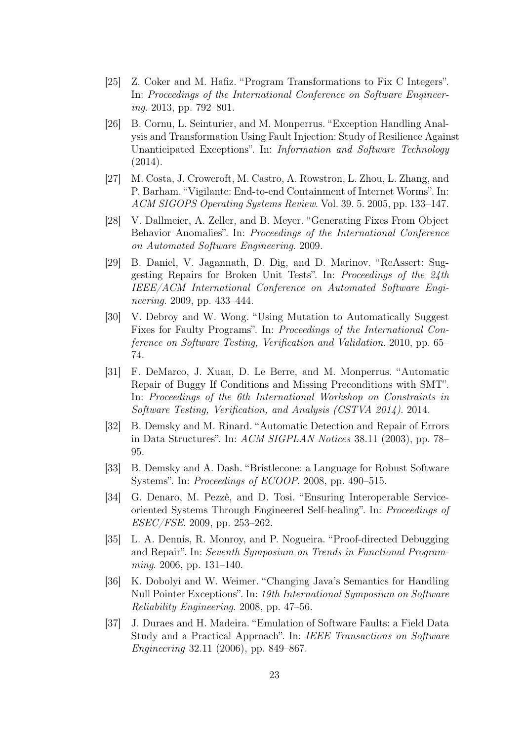- <span id="page-22-5"></span>[25] Z. Coker and M. Hafiz. "Program Transformations to Fix C Integers". In: Proceedings of the International Conference on Software Engineering. 2013, pp. 792–801.
- <span id="page-22-0"></span>[26] B. Cornu, L. Seinturier, and M. Monperrus. "Exception Handling Analysis and Transformation Using Fault Injection: Study of Resilience Against Unanticipated Exceptions". In: Information and Software Technology (2014).
- <span id="page-22-8"></span>[27] M. Costa, J. Crowcroft, M. Castro, A. Rowstron, L. Zhou, L. Zhang, and P. Barham. "Vigilante: End-to-end Containment of Internet Worms". In: ACM SIGOPS Operating Systems Review. Vol. 39. 5. 2005, pp. 133–147.
- <span id="page-22-3"></span>[28] V. Dallmeier, A. Zeller, and B. Meyer. "Generating Fixes From Object Behavior Anomalies". In: Proceedings of the International Conference on Automated Software Engineering. 2009.
- <span id="page-22-7"></span>[29] B. Daniel, V. Jagannath, D. Dig, and D. Marinov. "ReAssert: Suggesting Repairs for Broken Unit Tests". In: Proceedings of the 24th IEEE/ACM International Conference on Automated Software Engineering. 2009, pp. 433–444.
- <span id="page-22-4"></span>[30] V. Debroy and W. Wong. "Using Mutation to Automatically Suggest Fixes for Faulty Programs". In: Proceedings of the International Conference on Software Testing, Verification and Validation. 2010, pp. 65– 74.
- <span id="page-22-2"></span>[31] F. DeMarco, J. Xuan, D. Le Berre, and M. Monperrus. "Automatic Repair of Buggy If Conditions and Missing Preconditions with SMT". In: Proceedings of the 6th International Workshop on Constraints in Software Testing, Verification, and Analysis (CSTVA 2014). 2014.
- <span id="page-22-9"></span>[32] B. Demsky and M. Rinard. "Automatic Detection and Repair of Errors in Data Structures". In: ACM SIGPLAN Notices 38.11 (2003), pp. 78– 95.
- <span id="page-22-12"></span>[33] B. Demsky and A. Dash. "Bristlecone: a Language for Robust Software Systems". In: Proceedings of ECOOP. 2008, pp. 490–515.
- <span id="page-22-11"></span>[34] G. Denaro, M. Pezzè, and D. Tosi. "Ensuring Interoperable Serviceoriented Systems Through Engineered Self-healing". In: Proceedings of ESEC/FSE. 2009, pp. 253–262.
- <span id="page-22-6"></span>[35] L. A. Dennis, R. Monroy, and P. Nogueira. "Proof-directed Debugging and Repair". In: Seventh Symposium on Trends in Functional Programming. 2006, pp. 131–140.
- <span id="page-22-10"></span>[36] K. Dobolyi and W. Weimer. "Changing Java's Semantics for Handling Null Pointer Exceptions". In: 19th International Symposium on Software Reliability Engineering. 2008, pp. 47–56.
- <span id="page-22-1"></span>[37] J. Duraes and H. Madeira. "Emulation of Software Faults: a Field Data Study and a Practical Approach". In: IEEE Transactions on Software Engineering 32.11 (2006), pp. 849–867.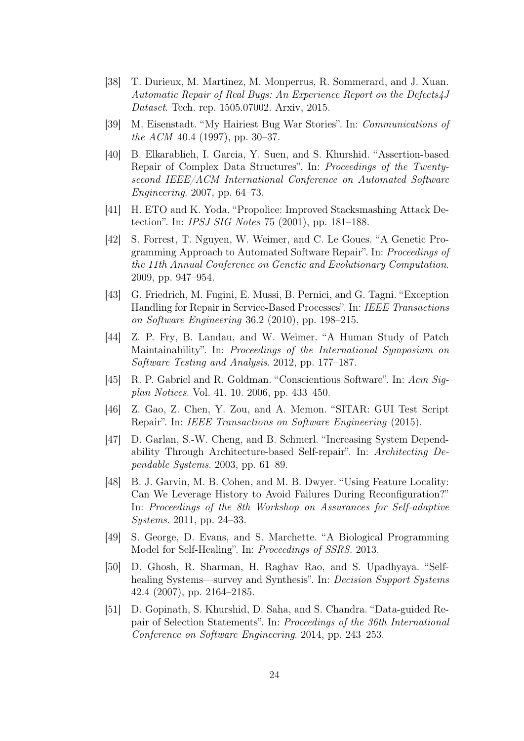- <span id="page-23-11"></span>[38] T. Durieux, M. Martinez, M. Monperrus, R. Sommerard, and J. Xuan. Automatic Repair of Real Bugs: An Experience Report on the Defects4J Dataset. Tech. rep. 1505.07002. Arxiv, 2015.
- <span id="page-23-0"></span>[39] M. Eisenstadt. "My Hairiest Bug War Stories". In: Communications of the ACM 40.4 (1997), pp. 30–37.
- <span id="page-23-9"></span>[40] B. Elkarablieh, I. Garcia, Y. Suen, and S. Khurshid. "Assertion-based Repair of Complex Data Structures". In: Proceedings of the Twentysecond IEEE/ACM International Conference on Automated Software Engineering. 2007, pp. 64–73.
- <span id="page-23-3"></span>[41] H. ETO and K. Yoda. "Propolice: Improved Stacksmashing Attack Detection". In: IPSJ SIG Notes 75 (2001), pp. 181–188.
- <span id="page-23-2"></span>[42] S. Forrest, T. Nguyen, W. Weimer, and C. Le Goues. "A Genetic Programming Approach to Automated Software Repair". In: Proceedings of the 11th Annual Conference on Genetic and Evolutionary Computation. 2009, pp. 947–954.
- <span id="page-23-8"></span>[43] G. Friedrich, M. Fugini, E. Mussi, B. Pernici, and G. Tagni. "Exception Handling for Repair in Service-Based Processes". In: IEEE Transactions on Software Engineering 36.2 (2010), pp. 198–215.
- <span id="page-23-10"></span>[44] Z. P. Fry, B. Landau, and W. Weimer. "A Human Study of Patch Maintainability". In: Proceedings of the International Symposium on Software Testing and Analysis. 2012, pp. 177–187.
- <span id="page-23-12"></span>[45] R. P. Gabriel and R. Goldman. "Conscientious Software". In: Acm Sigplan Notices. Vol. 41. 10. 2006, pp. 433–450.
- <span id="page-23-5"></span>[46] Z. Gao, Z. Chen, Y. Zou, and A. Memon. "SITAR: GUI Test Script Repair". In: IEEE Transactions on Software Engineering (2015).
- <span id="page-23-7"></span>[47] D. Garlan, S.-W. Cheng, and B. Schmerl. "Increasing System Dependability Through Architecture-based Self-repair". In: Architecting Dependable Systems. 2003, pp. 61–89.
- <span id="page-23-6"></span>[48] B. J. Garvin, M. B. Cohen, and M. B. Dwyer. "Using Feature Locality: Can We Leverage History to Avoid Failures During Reconfiguration?" In: Proceedings of the 8th Workshop on Assurances for Self-adaptive Systems. 2011, pp. 24–33.
- <span id="page-23-13"></span>[49] S. George, D. Evans, and S. Marchette. "A Biological Programming Model for Self-Healing". In: Proceedings of SSRS. 2013.
- <span id="page-23-1"></span>[50] D. Ghosh, R. Sharman, H. Raghav Rao, and S. Upadhyaya. "Selfhealing Systems—survey and Synthesis". In: *Decision Support Systems* 42.4 (2007), pp. 2164–2185.
- <span id="page-23-4"></span>[51] D. Gopinath, S. Khurshid, D. Saha, and S. Chandra. "Data-guided Repair of Selection Statements". In: Proceedings of the 36th International Conference on Software Engineering. 2014, pp. 243–253.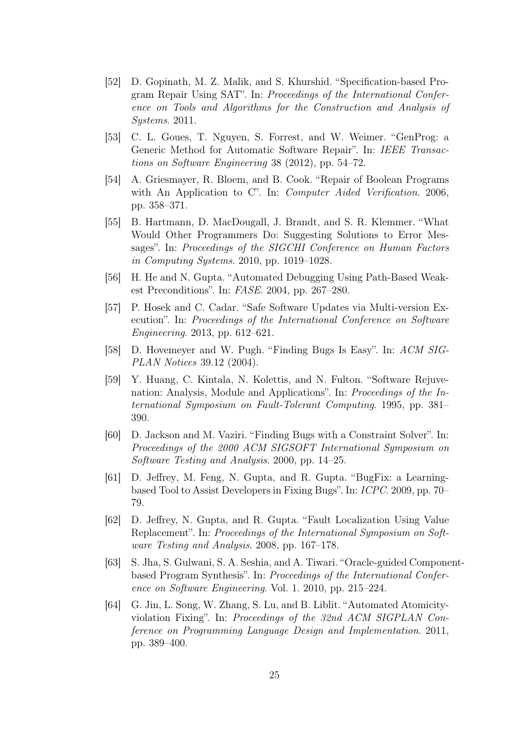- <span id="page-24-1"></span>[52] D. Gopinath, M. Z. Malik, and S. Khurshid. "Specification-based Program Repair Using SAT". In: Proceedings of the International Conference on Tools and Algorithms for the Construction and Analysis of Systems. 2011.
- <span id="page-24-2"></span>[53] C. L. Goues, T. Nguyen, S. Forrest, and W. Weimer. "GenProg: a Generic Method for Automatic Software Repair". In: IEEE Transactions on Software Engineering 38 (2012), pp. 54–72.
- <span id="page-24-4"></span>[54] A. Griesmayer, R. Bloem, and B. Cook. "Repair of Boolean Programs with An Application to C". In: *Computer Aided Verification*. 2006, pp. 358–371.
- <span id="page-24-10"></span>[55] B. Hartmann, D. MacDougall, J. Brandt, and S. R. Klemmer. "What Would Other Programmers Do: Suggesting Solutions to Error Messages". In: Proceedings of the SIGCHI Conference on Human Factors in Computing Systems. 2010, pp. 1019–1028.
- <span id="page-24-5"></span>[56] H. He and N. Gupta. "Automated Debugging Using Path-Based Weakest Preconditions". In: FASE. 2004, pp. 267–280.
- <span id="page-24-9"></span>[57] P. Hosek and C. Cadar. "Safe Software Updates via Multi-version Execution". In: Proceedings of the International Conference on Software Engineering. 2013, pp. 612–621.
- <span id="page-24-8"></span>[58] D. Hovemeyer and W. Pugh. "Finding Bugs Is Easy". In: ACM SIG-PLAN Notices 39.12 (2004).
- <span id="page-24-0"></span>[59] Y. Huang, C. Kintala, N. Kolettis, and N. Fulton. "Software Rejuvenation: Analysis, Module and Applications". In: Proceedings of the International Symposium on Fault-Tolerant Computing. 1995, pp. 381– 390.
- <span id="page-24-6"></span>[60] D. Jackson and M. Vaziri. "Finding Bugs with a Constraint Solver". In: Proceedings of the 2000 ACM SIGSOFT International Symposium on Software Testing and Analysis. 2000, pp. 14–25.
- <span id="page-24-11"></span>[61] D. Jeffrey, M. Feng, N. Gupta, and R. Gupta. "BugFix: a Learningbased Tool to Assist Developers in Fixing Bugs". In: ICPC. 2009, pp. 70– 79.
- <span id="page-24-12"></span>[62] D. Jeffrey, N. Gupta, and R. Gupta. "Fault Localization Using Value Replacement". In: Proceedings of the International Symposium on Software Testing and Analysis. 2008, pp. 167–178.
- <span id="page-24-3"></span>[63] S. Jha, S. Gulwani, S. A. Seshia, and A. Tiwari. "Oracle-guided Componentbased Program Synthesis". In: Proceedings of the International Conference on Software Engineering. Vol. 1. 2010, pp. 215–224.
- <span id="page-24-7"></span>[64] G. Jin, L. Song, W. Zhang, S. Lu, and B. Liblit. "Automated Atomicityviolation Fixing". In: Proceedings of the 32nd ACM SIGPLAN Conference on Programming Language Design and Implementation. 2011, pp. 389–400.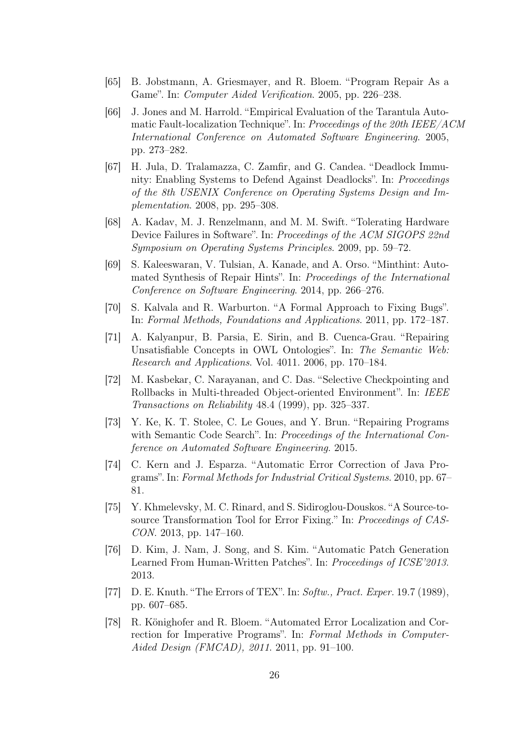- <span id="page-25-13"></span>[65] B. Jobstmann, A. Griesmayer, and R. Bloem. "Program Repair As a Game". In: Computer Aided Verification. 2005, pp. 226–238.
- <span id="page-25-5"></span>[66] J. Jones and M. Harrold. "Empirical Evaluation of the Tarantula Automatic Fault-localization Technique". In: Proceedings of the 20th IEEE/ACM International Conference on Automated Software Engineering. 2005, pp. 273–282.
- <span id="page-25-3"></span>[67] H. Jula, D. Tralamazza, C. Zamfir, and G. Candea. "Deadlock Immunity: Enabling Systems to Defend Against Deadlocks". In: Proceedings of the 8th USENIX Conference on Operating Systems Design and Implementation. 2008, pp. 295–308.
- <span id="page-25-9"></span>[68] A. Kadav, M. J. Renzelmann, and M. M. Swift. "Tolerating Hardware Device Failures in Software". In: Proceedings of the ACM SIGOPS 22nd Symposium on Operating Systems Principles. 2009, pp. 59–72.
- <span id="page-25-4"></span>[69] S. Kaleeswaran, V. Tulsian, A. Kanade, and A. Orso. "Minthint: Automated Synthesis of Repair Hints". In: Proceedings of the International Conference on Software Engineering. 2014, pp. 266–276.
- <span id="page-25-11"></span>[70] S. Kalvala and R. Warburton. "A Formal Approach to Fixing Bugs". In: Formal Methods, Foundations and Applications. 2011, pp. 172–187.
- <span id="page-25-8"></span>[71] A. Kalyanpur, B. Parsia, E. Sirin, and B. Cuenca-Grau. "Repairing Unsatisfiable Concepts in OWL Ontologies". In: The Semantic Web: Research and Applications. Vol. 4011. 2006, pp. 170–184.
- <span id="page-25-12"></span>[72] M. Kasbekar, C. Narayanan, and C. Das. "Selective Checkpointing and Rollbacks in Multi-threaded Object-oriented Environment". In: IEEE Transactions on Reliability 48.4 (1999), pp. 325–337.
- <span id="page-25-6"></span>[73] Y. Ke, K. T. Stolee, C. Le Goues, and Y. Brun. "Repairing Programs with Semantic Code Search". In: Proceedings of the International Conference on Automated Software Engineering. 2015.
- <span id="page-25-2"></span>[74] C. Kern and J. Esparza. "Automatic Error Correction of Java Programs". In: Formal Methods for Industrial Critical Systems. 2010, pp. 67– 81.
- <span id="page-25-10"></span>[75] Y. Khmelevsky, M. C. Rinard, and S. Sidiroglou-Douskos. "A Source-tosource Transformation Tool for Error Fixing." In: Proceedings of CAS-CON. 2013, pp. 147–160.
- <span id="page-25-1"></span>[76] D. Kim, J. Nam, J. Song, and S. Kim. "Automatic Patch Generation Learned From Human-Written Patches". In: Proceedings of ICSE'2013. 2013.
- <span id="page-25-0"></span>[77] D. E. Knuth. "The Errors of TEX". In: Softw., Pract. Exper. 19.7 (1989), pp. 607–685.
- <span id="page-25-7"></span>[78] R. Könighofer and R. Bloem. "Automated Error Localization and Correction for Imperative Programs". In: Formal Methods in Computer-Aided Design (FMCAD), 2011. 2011, pp. 91–100.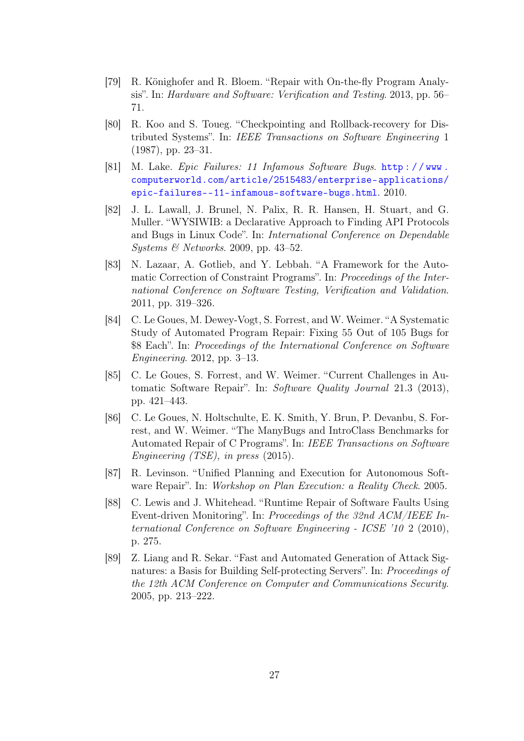- <span id="page-26-4"></span>[79] R. Könighofer and R. Bloem. "Repair with On-the-fly Program Analysis". In: Hardware and Software: Verification and Testing. 2013, pp. 56– 71.
- <span id="page-26-6"></span>[80] R. Koo and S. Toueg. "Checkpointing and Rollback-recovery for Distributed Systems". In: IEEE Transactions on Software Engineering 1 (1987), pp. 23–31.
- <span id="page-26-0"></span>[81] M. Lake. Epic Failures: 11 Infamous Software Bugs. http://www. [computerworld.com/article/2515483/enterprise-applications/](http://www.computerworld.com/article/2515483/enterprise-applications/epic-failures--11-infamous-software-bugs.html) [epic-failures--11-infamous-software-bugs.html](http://www.computerworld.com/article/2515483/enterprise-applications/epic-failures--11-infamous-software-bugs.html). 2010.
- <span id="page-26-5"></span>[82] J. L. Lawall, J. Brunel, N. Palix, R. R. Hansen, H. Stuart, and G. Muller. "WYSIWIB: a Declarative Approach to Finding API Protocols and Bugs in Linux Code". In: International Conference on Dependable Systems  $\mathcal{B}$  Networks. 2009, pp. 43–52.
- <span id="page-26-3"></span>[83] N. Lazaar, A. Gotlieb, and Y. Lebbah. "A Framework for the Automatic Correction of Constraint Programs". In: Proceedings of the International Conference on Software Testing, Verification and Validation. 2011, pp. 319–326.
- <span id="page-26-2"></span>[84] C. Le Goues, M. Dewey-Vogt, S. Forrest, and W. Weimer. "A Systematic Study of Automated Program Repair: Fixing 55 Out of 105 Bugs for \$8 Each". In: Proceedings of the International Conference on Software Engineering. 2012, pp. 3–13.
- <span id="page-26-1"></span>[85] C. Le Goues, S. Forrest, and W. Weimer. "Current Challenges in Automatic Software Repair". In: Software Quality Journal 21.3 (2013), pp. 421–443.
- <span id="page-26-9"></span>[86] C. Le Goues, N. Holtschulte, E. K. Smith, Y. Brun, P. Devanbu, S. Forrest, and W. Weimer. "The ManyBugs and IntroClass Benchmarks for Automated Repair of C Programs". In: IEEE Transactions on Software Engineering (TSE), in press (2015).
- <span id="page-26-10"></span>[87] R. Levinson. "Unified Planning and Execution for Autonomous Software Repair". In: Workshop on Plan Execution: a Reality Check. 2005.
- <span id="page-26-8"></span>[88] C. Lewis and J. Whitehead. "Runtime Repair of Software Faults Using Event-driven Monitoring". In: Proceedings of the 32nd ACM/IEEE International Conference on Software Engineering - ICSE '10 2 (2010), p. 275.
- <span id="page-26-7"></span>[89] Z. Liang and R. Sekar. "Fast and Automated Generation of Attack Signatures: a Basis for Building Self-protecting Servers". In: Proceedings of the 12th ACM Conference on Computer and Communications Security. 2005, pp. 213–222.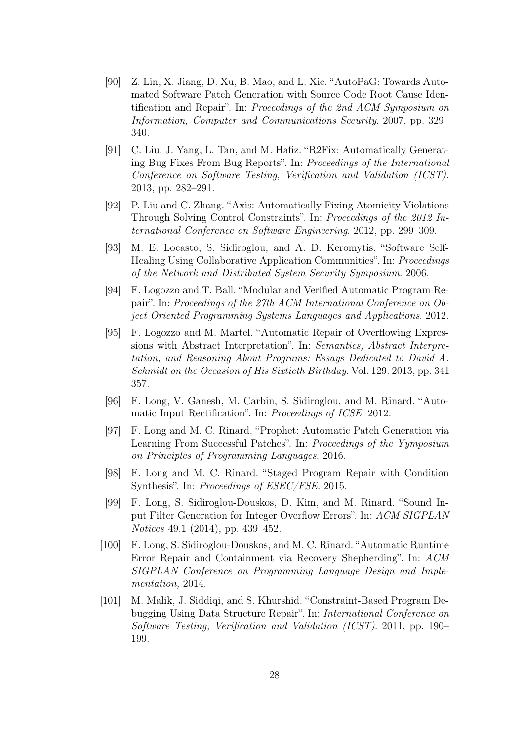- <span id="page-27-2"></span>[90] Z. Lin, X. Jiang, D. Xu, B. Mao, and L. Xie. "AutoPaG: Towards Automated Software Patch Generation with Source Code Root Cause Identification and Repair". In: Proceedings of the 2nd ACM Symposium on Information, Computer and Communications Security. 2007, pp. 329– 340.
- <span id="page-27-1"></span>[91] C. Liu, J. Yang, L. Tan, and M. Hafiz. "R2Fix: Automatically Generating Bug Fixes From Bug Reports". In: Proceedings of the International Conference on Software Testing, Verification and Validation (ICST). 2013, pp. 282–291.
- <span id="page-27-7"></span>[92] P. Liu and C. Zhang. "Axis: Automatically Fixing Atomicity Violations Through Solving Control Constraints". In: Proceedings of the 2012 International Conference on Software Engineering. 2012, pp. 299–309.
- <span id="page-27-3"></span>[93] M. E. Locasto, S. Sidiroglou, and A. D. Keromytis. "Software Self-Healing Using Collaborative Application Communities". In: Proceedings of the Network and Distributed System Security Symposium. 2006.
- <span id="page-27-0"></span>[94] F. Logozzo and T. Ball. "Modular and Verified Automatic Program Repair". In: Proceedings of the 27th ACM International Conference on Object Oriented Programming Systems Languages and Applications. 2012.
- <span id="page-27-6"></span>[95] F. Logozzo and M. Martel. "Automatic Repair of Overflowing Expressions with Abstract Interpretation". In: Semantics, Abstract Interpretation, and Reasoning About Programs: Essays Dedicated to David A. Schmidt on the Occasion of His Sixtieth Birthday. Vol. 129. 2013, pp. 341– 357.
- <span id="page-27-9"></span>[96] F. Long, V. Ganesh, M. Carbin, S. Sidiroglou, and M. Rinard. "Automatic Input Rectification". In: Proceedings of ICSE. 2012.
- <span id="page-27-5"></span>[97] F. Long and M. C. Rinard. "Prophet: Automatic Patch Generation via Learning From Successful Patches". In: Proceedings of the Yymposium on Principles of Programming Languages. 2016.
- <span id="page-27-4"></span>[98] F. Long and M. C. Rinard. "Staged Program Repair with Condition Synthesis". In: Proceedings of ESEC/FSE. 2015.
- <span id="page-27-8"></span>[99] F. Long, S. Sidiroglou-Douskos, D. Kim, and M. Rinard. "Sound Input Filter Generation for Integer Overflow Errors". In: ACM SIGPLAN Notices 49.1 (2014), pp. 439–452.
- <span id="page-27-10"></span>[100] F. Long, S. Sidiroglou-Douskos, and M. C. Rinard. "Automatic Runtime Error Repair and Containment via Recovery Shepherding". In: ACM SIGPLAN Conference on Programming Language Design and Implementation, 2014.
- <span id="page-27-11"></span>[101] M. Malik, J. Siddiqi, and S. Khurshid. "Constraint-Based Program Debugging Using Data Structure Repair". In: International Conference on Software Testing, Verification and Validation (ICST). 2011, pp. 190– 199.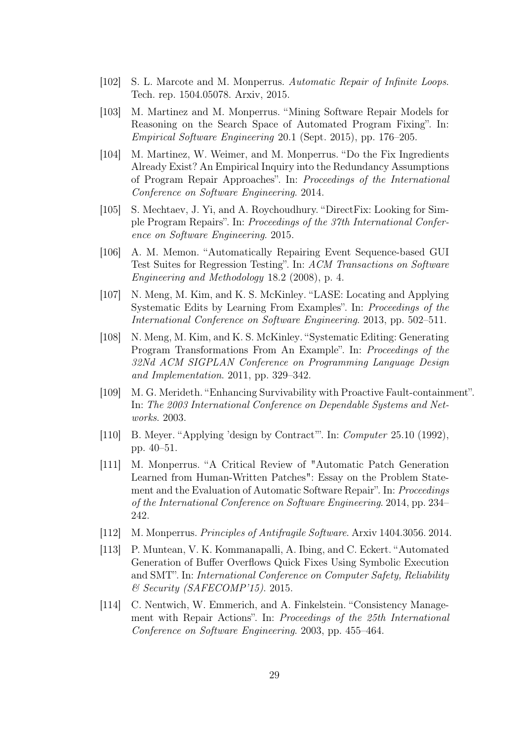- <span id="page-28-5"></span>[102] S. L. Marcote and M. Monperrus. Automatic Repair of Infinite Loops. Tech. rep. 1504.05078. Arxiv, 2015.
- <span id="page-28-3"></span>[103] M. Martinez and M. Monperrus. "Mining Software Repair Models for Reasoning on the Search Space of Automated Program Fixing". In: Empirical Software Engineering 20.1 (Sept. 2015), pp. 176–205.
- <span id="page-28-4"></span>[104] M. Martinez, W. Weimer, and M. Monperrus. "Do the Fix Ingredients Already Exist? An Empirical Inquiry into the Redundancy Assumptions of Program Repair Approaches". In: Proceedings of the International Conference on Software Engineering. 2014.
- <span id="page-28-6"></span>[105] S. Mechtaev, J. Yi, and A. Roychoudhury. "DirectFix: Looking for Simple Program Repairs". In: Proceedings of the 37th International Conference on Software Engineering. 2015.
- <span id="page-28-10"></span>[106] A. M. Memon. "Automatically Repairing Event Sequence-based GUI Test Suites for Regression Testing". In: ACM Transactions on Software Engineering and Methodology 18.2 (2008), p. 4.
- <span id="page-28-12"></span>[107] N. Meng, M. Kim, and K. S. McKinley. "LASE: Locating and Applying Systematic Edits by Learning From Examples". In: Proceedings of the International Conference on Software Engineering. 2013, pp. 502–511.
- <span id="page-28-11"></span>[108] N. Meng, M. Kim, and K. S. McKinley. "Systematic Editing: Generating Program Transformations From An Example". In: Proceedings of the 32Nd ACM SIGPLAN Conference on Programming Language Design and Implementation. 2011, pp. 329–342.
- <span id="page-28-1"></span>[109] M. G. Merideth. "Enhancing Survivability with Proactive Fault-containment". In: The 2003 International Conference on Dependable Systems and Networks. 2003.
- <span id="page-28-7"></span>[110] B. Meyer. "Applying 'design by Contract". In: *Computer* 25.10 (1992), pp. 40–51.
- <span id="page-28-2"></span>[111] M. Monperrus. "A Critical Review of "Automatic Patch Generation Learned from Human-Written Patches": Essay on the Problem Statement and the Evaluation of Automatic Software Repair". In: Proceedings of the International Conference on Software Engineering. 2014, pp. 234– 242.
- <span id="page-28-0"></span>[112] M. Monperrus. Principles of Antifragile Software. Arxiv 1404.3056. 2014.
- <span id="page-28-8"></span>[113] P. Muntean, V. K. Kommanapalli, A. Ibing, and C. Eckert. "Automated Generation of Buffer Overflows Quick Fixes Using Symbolic Execution and SMT". In: International Conference on Computer Safety, Reliability & Security (SAFECOMP'15). 2015.
- <span id="page-28-9"></span>[114] C. Nentwich, W. Emmerich, and A. Finkelstein. "Consistency Management with Repair Actions". In: Proceedings of the 25th International Conference on Software Engineering. 2003, pp. 455–464.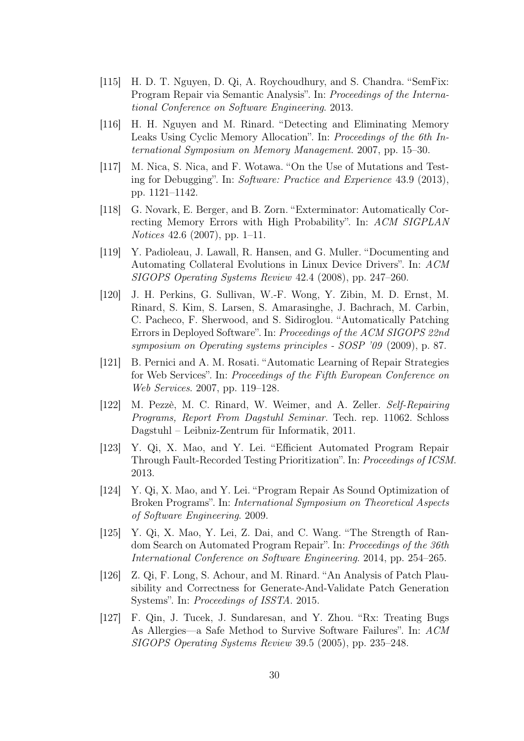- <span id="page-29-2"></span>[115] H. D. T. Nguyen, D. Qi, A. Roychoudhury, and S. Chandra. "SemFix: Program Repair via Semantic Analysis". In: Proceedings of the International Conference on Software Engineering. 2013.
- <span id="page-29-6"></span>[116] H. H. Nguyen and M. Rinard. "Detecting and Eliminating Memory Leaks Using Cyclic Memory Allocation". In: Proceedings of the 6th International Symposium on Memory Management. 2007, pp. 15–30.
- <span id="page-29-5"></span>[117] M. Nica, S. Nica, and F. Wotawa. "On the Use of Mutations and Testing for Debugging". In: Software: Practice and Experience 43.9 (2013), pp. 1121–1142.
- <span id="page-29-8"></span>[118] G. Novark, E. Berger, and B. Zorn. "Exterminator: Automatically Correcting Memory Errors with High Probability". In: ACM SIGPLAN Notices 42.6 (2007), pp. 1–11.
- <span id="page-29-11"></span>[119] Y. Padioleau, J. Lawall, R. Hansen, and G. Muller. "Documenting and Automating Collateral Evolutions in Linux Device Drivers". In: ACM SIGOPS Operating Systems Review 42.4 (2008), pp. 247–260.
- <span id="page-29-9"></span>[120] J. H. Perkins, G. Sullivan, W.-F. Wong, Y. Zibin, M. D. Ernst, M. Rinard, S. Kim, S. Larsen, S. Amarasinghe, J. Bachrach, M. Carbin, C. Pacheco, F. Sherwood, and S. Sidiroglou. "Automatically Patching Errors in Deployed Software". In: Proceedings of the ACM SIGOPS 22nd symposium on Operating systems principles - SOSP '09 (2009), p. 87.
- <span id="page-29-7"></span>[121] B. Pernici and A. M. Rosati. "Automatic Learning of Repair Strategies for Web Services". In: Proceedings of the Fifth European Conference on Web Services. 2007, pp. 119–128.
- <span id="page-29-0"></span>[122] M. Pezzè, M. C. Rinard, W. Weimer, and A. Zeller. Self-Repairing Programs, Report From Dagstuhl Seminar. Tech. rep. 11062. Schloss Dagstuhl – Leibniz-Zentrum für Informatik, 2011.
- <span id="page-29-3"></span>[123] Y. Qi, X. Mao, and Y. Lei. "Efficient Automated Program Repair Through Fault-Recorded Testing Prioritization". In: Proceedings of ICSM. 2013.
- <span id="page-29-12"></span>[124] Y. Qi, X. Mao, and Y. Lei. "Program Repair As Sound Optimization of Broken Programs". In: International Symposium on Theoretical Aspects of Software Engineering. 2009.
- <span id="page-29-4"></span>[125] Y. Qi, X. Mao, Y. Lei, Z. Dai, and C. Wang. "The Strength of Random Search on Automated Program Repair". In: Proceedings of the 36th International Conference on Software Engineering. 2014, pp. 254–265.
- <span id="page-29-10"></span>[126] Z. Qi, F. Long, S. Achour, and M. Rinard. "An Analysis of Patch Plausibility and Correctness for Generate-And-Validate Patch Generation Systems". In: Proceedings of ISSTA. 2015.
- <span id="page-29-1"></span>[127] F. Qin, J. Tucek, J. Sundaresan, and Y. Zhou. "Rx: Treating Bugs As Allergies—a Safe Method to Survive Software Failures". In: ACM SIGOPS Operating Systems Review 39.5 (2005), pp. 235–248.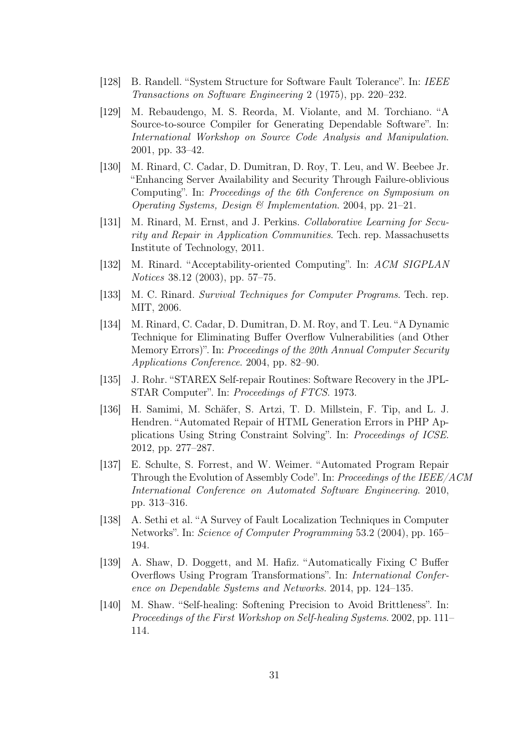- <span id="page-30-10"></span>[128] B. Randell. "System Structure for Software Fault Tolerance". In: IEEE Transactions on Software Engineering 2 (1975), pp. 220–232.
- <span id="page-30-8"></span>[129] M. Rebaudengo, M. S. Reorda, M. Violante, and M. Torchiano. "A Source-to-source Compiler for Generating Dependable Software". In: International Workshop on Source Code Analysis and Manipulation. 2001, pp. 33–42.
- <span id="page-30-5"></span>[130] M. Rinard, C. Cadar, D. Dumitran, D. Roy, T. Leu, and W. Beebee Jr. "Enhancing Server Availability and Security Through Failure-oblivious Computing". In: Proceedings of the 6th Conference on Symposium on Operating Systems, Design & Implementation. 2004, pp. 21–21.
- <span id="page-30-11"></span>[131] M. Rinard, M. Ernst, and J. Perkins. *Collaborative Learning for Secu*rity and Repair in Application Communities. Tech. rep. Massachusetts Institute of Technology, 2011.
- <span id="page-30-7"></span>[132] M. Rinard. "Acceptability-oriented Computing". In: ACM SIGPLAN Notices 38.12 (2003), pp. 57–75.
- <span id="page-30-0"></span>[133] M. C. Rinard. Survival Techniques for Computer Programs. Tech. rep. MIT, 2006.
- <span id="page-30-6"></span>[134] M. Rinard, C. Cadar, D. Dumitran, D. M. Roy, and T. Leu. "A Dynamic Technique for Eliminating Buffer Overflow Vulnerabilities (and Other Memory Errors)". In: Proceedings of the 20th Annual Computer Security Applications Conference. 2004, pp. 82–90.
- <span id="page-30-12"></span>[135] J. Rohr. "STAREX Self-repair Routines: Software Recovery in the JPL-STAR Computer". In: Proceedings of FTCS. 1973.
- <span id="page-30-4"></span>[136] H. Samimi, M. Schäfer, S. Artzi, T. D. Millstein, F. Tip, and L. J. Hendren. "Automated Repair of HTML Generation Errors in PHP Applications Using String Constraint Solving". In: Proceedings of ICSE. 2012, pp. 277–287.
- <span id="page-30-3"></span>[137] E. Schulte, S. Forrest, and W. Weimer. "Automated Program Repair Through the Evolution of Assembly Code". In: Proceedings of the IEEE/ACM International Conference on Automated Software Engineering. 2010, pp. 313–316.
- <span id="page-30-1"></span>[138] A. Sethi et al. "A Survey of Fault Localization Techniques in Computer Networks". In: Science of Computer Programming 53.2 (2004), pp. 165– 194.
- <span id="page-30-9"></span>[139] A. Shaw, D. Doggett, and M. Hafiz. "Automatically Fixing C Buffer Overflows Using Program Transformations". In: International Conference on Dependable Systems and Networks. 2014, pp. 124–135.
- <span id="page-30-2"></span>[140] M. Shaw. "Self-healing: Softening Precision to Avoid Brittleness". In: Proceedings of the First Workshop on Self-healing Systems. 2002, pp. 111– 114.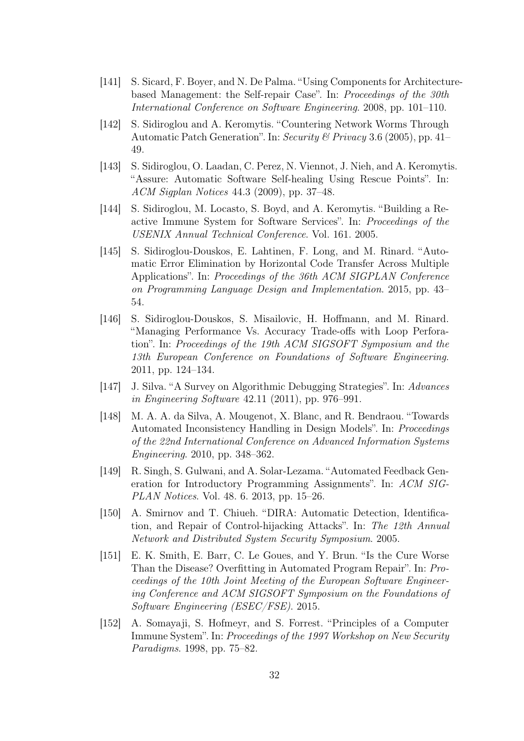- <span id="page-31-8"></span>[141] S. Sicard, F. Boyer, and N. De Palma. "Using Components for Architecturebased Management: the Self-repair Case". In: Proceedings of the 30th International Conference on Software Engineering. 2008, pp. 101–110.
- <span id="page-31-1"></span>[142] S. Sidiroglou and A. Keromytis. "Countering Network Worms Through Automatic Patch Generation". In: Security & Privacy 3.6 (2005), pp. 41– 49.
- <span id="page-31-2"></span>[143] S. Sidiroglou, O. Laadan, C. Perez, N. Viennot, J. Nieh, and A. Keromytis. "Assure: Automatic Software Self-healing Using Rescue Points". In: ACM Sigplan Notices 44.3 (2009), pp. 37–48.
- <span id="page-31-3"></span>[144] S. Sidiroglou, M. Locasto, S. Boyd, and A. Keromytis. "Building a Reactive Immune System for Software Services". In: Proceedings of the USENIX Annual Technical Conference. Vol. 161. 2005.
- <span id="page-31-4"></span>[145] S. Sidiroglou-Douskos, E. Lahtinen, F. Long, and M. Rinard. "Automatic Error Elimination by Horizontal Code Transfer Across Multiple Applications". In: Proceedings of the 36th ACM SIGPLAN Conference on Programming Language Design and Implementation. 2015, pp. 43– 54.
- <span id="page-31-9"></span>[146] S. Sidiroglou-Douskos, S. Misailovic, H. Hoffmann, and M. Rinard. "Managing Performance Vs. Accuracy Trade-offs with Loop Perforation". In: Proceedings of the 19th ACM SIGSOFT Symposium and the 13th European Conference on Foundations of Software Engineering. 2011, pp. 124–134.
- <span id="page-31-0"></span>[147] J. Silva. "A Survey on Algorithmic Debugging Strategies". In: Advances in Engineering Software 42.11 (2011), pp. 976–991.
- <span id="page-31-6"></span>[148] M. A. A. da Silva, A. Mougenot, X. Blanc, and R. Bendraou. "Towards Automated Inconsistency Handling in Design Models". In: Proceedings of the 22nd International Conference on Advanced Information Systems Engineering. 2010, pp. 348–362.
- <span id="page-31-5"></span>[149] R. Singh, S. Gulwani, and A. Solar-Lezama. "Automated Feedback Generation for Introductory Programming Assignments". In: ACM SIG-PLAN Notices. Vol. 48. 6. 2013, pp. 15–26.
- <span id="page-31-7"></span>[150] A. Smirnov and T. Chiueh. "DIRA: Automatic Detection, Identification, and Repair of Control-hijacking Attacks". In: The 12th Annual Network and Distributed System Security Symposium. 2005.
- <span id="page-31-10"></span>[151] E. K. Smith, E. Barr, C. Le Goues, and Y. Brun. "Is the Cure Worse Than the Disease? Overfitting in Automated Program Repair". In: Proceedings of the 10th Joint Meeting of the European Software Engineering Conference and ACM SIGSOFT Symposium on the Foundations of Software Engineering (ESEC/FSE). 2015.
- <span id="page-31-11"></span>[152] A. Somayaji, S. Hofmeyr, and S. Forrest. "Principles of a Computer Immune System". In: Proceedings of the 1997 Workshop on New Security Paradigms. 1998, pp. 75–82.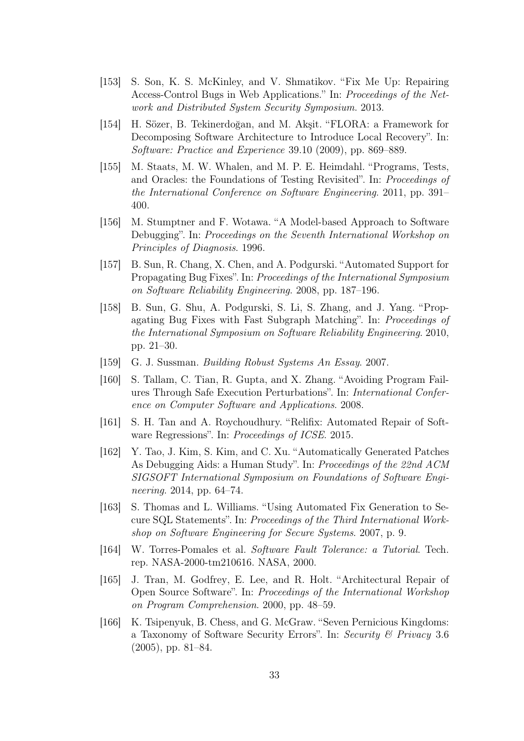- <span id="page-32-6"></span>[153] S. Son, K. S. McKinley, and V. Shmatikov. "Fix Me Up: Repairing Access-Control Bugs in Web Applications." In: Proceedings of the Network and Distributed System Security Symposium. 2013.
- <span id="page-32-1"></span>[154] H. Sözer, B. Tekinerdoğan, and M. Akşit. "FLORA: a Framework for Decomposing Software Architecture to Introduce Local Recovery". In: Software: Practice and Experience 39.10 (2009), pp. 869–889.
- <span id="page-32-2"></span>[155] M. Staats, M. W. Whalen, and M. P. E. Heimdahl. "Programs, Tests, and Oracles: the Foundations of Testing Revisited". In: Proceedings of the International Conference on Software Engineering. 2011, pp. 391– 400.
- <span id="page-32-4"></span>[156] M. Stumptner and F. Wotawa. "A Model-based Approach to Software Debugging". In: Proceedings on the Seventh International Workshop on Principles of Diagnosis. 1996.
- <span id="page-32-12"></span>[157] B. Sun, R. Chang, X. Chen, and A. Podgurski. "Automated Support for Propagating Bug Fixes". In: Proceedings of the International Symposium on Software Reliability Engineering. 2008, pp. 187–196.
- <span id="page-32-13"></span>[158] B. Sun, G. Shu, A. Podgurski, S. Li, S. Zhang, and J. Yang. "Propagating Bug Fixes with Fast Subgraph Matching". In: Proceedings of the International Symposium on Software Reliability Engineering. 2010, pp. 21–30.
- <span id="page-32-11"></span>[159] G. J. Sussman. Building Robust Systems An Essay. 2007.
- <span id="page-32-9"></span>[160] S. Tallam, C. Tian, R. Gupta, and X. Zhang. "Avoiding Program Failures Through Safe Execution Perturbations". In: International Conference on Computer Software and Applications. 2008.
- <span id="page-32-5"></span>[161] S. H. Tan and A. Roychoudhury. "Relifix: Automated Repair of Software Regressions". In: Proceedings of ICSE. 2015.
- <span id="page-32-10"></span>[162] Y. Tao, J. Kim, S. Kim, and C. Xu. "Automatically Generated Patches As Debugging Aids: a Human Study". In: Proceedings of the 22nd ACM SIGSOFT International Symposium on Foundations of Software Engineering. 2014, pp. 64–74.
- <span id="page-32-8"></span>[163] S. Thomas and L. Williams. "Using Automated Fix Generation to Secure SQL Statements". In: Proceedings of the Third International Workshop on Software Engineering for Secure Systems. 2007, p. 9.
- <span id="page-32-0"></span>[164] W. Torres-Pomales et al. Software Fault Tolerance: a Tutorial. Tech. rep. NASA-2000-tm210616. NASA, 2000.
- <span id="page-32-7"></span>[165] J. Tran, M. Godfrey, E. Lee, and R. Holt. "Architectural Repair of Open Source Software". In: Proceedings of the International Workshop on Program Comprehension. 2000, pp. 48–59.
- <span id="page-32-3"></span>[166] K. Tsipenyuk, B. Chess, and G. McGraw. "Seven Pernicious Kingdoms: a Taxonomy of Software Security Errors". In: Security & Privacy 3.6 (2005), pp. 81–84.